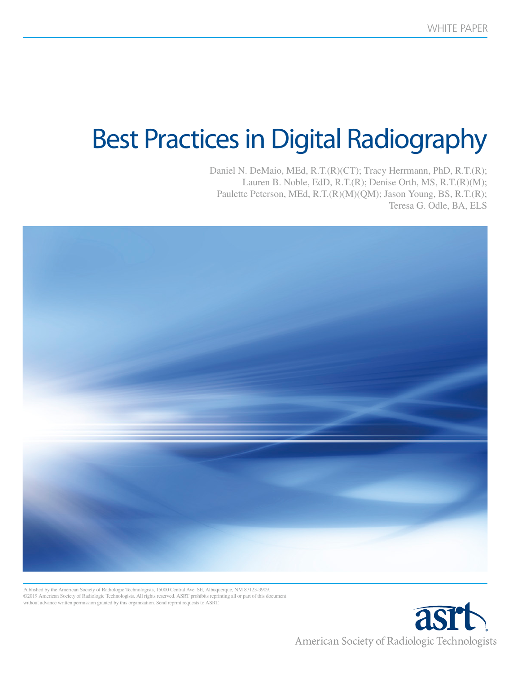# Best Practices in Digital Radiography

Daniel N. DeMaio, MEd, R.T.(R)(CT); Tracy Herrmann, PhD, R.T.(R); Lauren B. Noble, EdD, R.T.(R); Denise Orth, MS, R.T.(R)(M); Paulette Peterson, MEd, R.T.(R)(M)(QM); Jason Young, BS, R.T.(R); Teresa G. Odle, BA, ELS



Published by the American Society of Radiologic Technologists, 15000 Central Ave. SE, Albuquerque, NM 87123-3909. ©2019 American Society of Radiologic Technologists. All rights reserved. ASRT prohibits reprinting all or part of this document without advance written permission granted by this organization. Send reprint requests to ASRT.

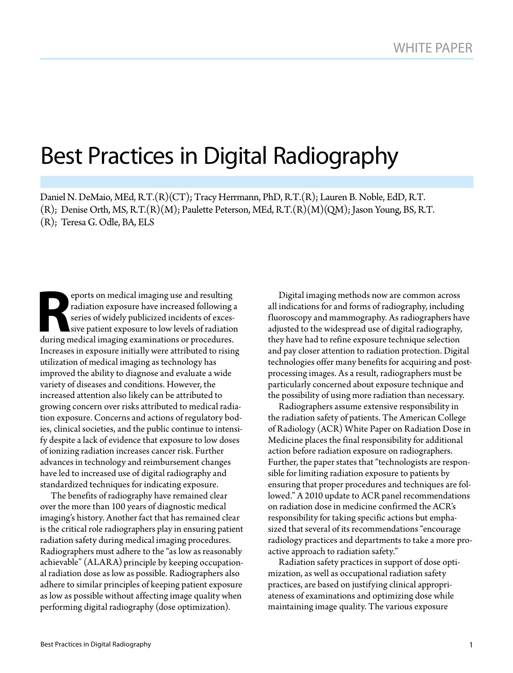# Best Practices in Digital Radiography

Daniel N. DeMaio, MEd, R.T.(R)(CT); Tracy Herrmann, PhD, R.T.(R); Lauren B. Noble, EdD, R.T.  $(R)$ ; Denise Orth, MS, R.T. $(R)(M)$ ; Paulette Peterson, MEd, R.T. $(R)(M)(QM)$ ; Jason Young, BS, R.T. (R); Teresa G. Odle, BA, ELS

Proof son medical imaging use and resulting<br>
radiation exposure have increased following<br>
series of widely publicized incidents of excessive patient exposure to low levels of radiation<br>
during medical imaging examinations radiation exposure have increased following a series of widely publicized incidents of excessive patient exposure to low levels of radiation during medical imaging examinations or procedures. Increases in exposure initially were attributed to rising utilization of medical imaging as technology has improved the ability to diagnose and evaluate a wide variety of diseases and conditions. However, the increased attention also likely can be attributed to growing concern over risks attributed to medical radiation exposure. Concerns and actions of regulatory bodies, clinical societies, and the public continue to intensify despite a lack of evidence that exposure to low doses of ionizing radiation increases cancer risk. Further advances in technology and reimbursement changes have led to increased use of digital radiography and standardized techniques for indicating exposure.

The benefits of radiography have remained clear over the more than 100 years of diagnostic medical imaging's history. Another fact that has remained clear is the critical role radiographers play in ensuring patient radiation safety during medical imaging procedures. Radiographers must adhere to the "as low as reasonably achievable" (ALARA) principle by keeping occupational radiation dose as low as possible. Radiographers also adhere to similar principles of keeping patient exposure as low as possible without affecting image quality when performing digital radiography (dose optimization).

Digital imaging methods now are common across all indications for and forms of radiography, including fluoroscopy and mammography. As radiographers have adjusted to the widespread use of digital radiography, they have had to refine exposure technique selection and pay closer attention to radiation protection. Digital technologies offer many benefits for acquiring and postprocessing images. As a result, radiographers must be particularly concerned about exposure technique and the possibility of using more radiation than necessary.

Radiographers assume extensive responsibility in the radiation safety of patients. The American College of Radiology (ACR) White Paper on Radiation Dose in Medicine places the final responsibility for additional action before radiation exposure on radiographers. Further, the paper states that "technologists are responsible for limiting radiation exposure to patients by ensuring that proper procedures and techniques are followed." A 2010 update to ACR panel recommendations on radiation dose in medicine confirmed the ACR's responsibility for taking specific actions but emphasized that several of its recommendations "encourage radiology practices and departments to take a more proactive approach to radiation safety."

Radiation safety practices in support of dose optimization, as well as occupational radiation safety practices, are based on justifying clinical appropriateness of examinations and optimizing dose while maintaining image quality. The various exposure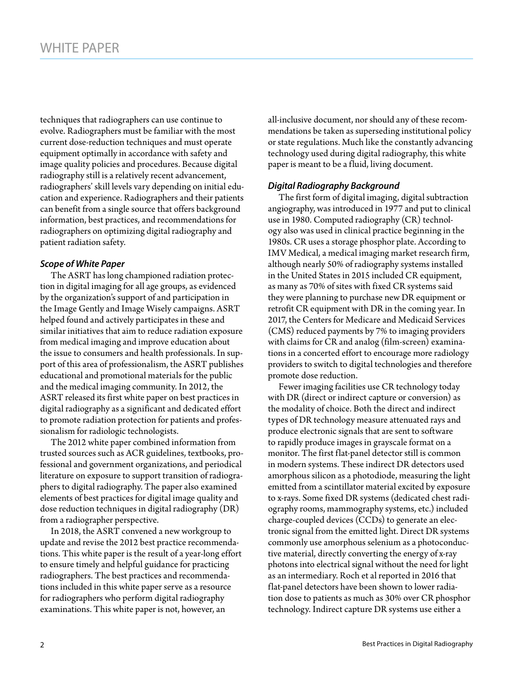techniques that radiographers can use continue to evolve. Radiographers must be familiar with the most current dose-reduction techniques and must operate equipment optimally in accordance with safety and image quality policies and procedures. Because digital radiography still is a relatively recent advancement, radiographers' skill levels vary depending on initial education and experience. Radiographers and their patients can benefit from a single source that offers background information, best practices, and recommendations for radiographers on optimizing digital radiography and patient radiation safety.

## *Scope of White Paper*

The ASRT has long championed radiation protection in digital imaging for all age groups, as evidenced by the organization's support of and participation in the Image Gently and Image Wisely campaigns. ASRT helped found and actively participates in these and similar initiatives that aim to reduce radiation exposure from medical imaging and improve education about the issue to consumers and health professionals. In support of this area of professionalism, the ASRT publishes educational and promotional materials for the public and the medical imaging community. In 2012, the ASRT released its first white paper on best practices in digital radiography as a significant and dedicated effort to promote radiation protection for patients and professionalism for radiologic technologists.

The 2012 white paper combined information from trusted sources such as ACR guidelines, textbooks, professional and government organizations, and periodical literature on exposure to support transition of radiographers to digital radiography. The paper also examined elements of best practices for digital image quality and dose reduction techniques in digital radiography (DR) from a radiographer perspective.

In 2018, the ASRT convened a new workgroup to update and revise the 2012 best practice recommendations. This white paper is the result of a year-long effort to ensure timely and helpful guidance for practicing radiographers. The best practices and recommendations included in this white paper serve as a resource for radiographers who perform digital radiography examinations. This white paper is not, however, an

all-inclusive document, nor should any of these recommendations be taken as superseding institutional policy or state regulations. Much like the constantly advancing technology used during digital radiography, this white paper is meant to be a fluid, living document.

# *Digital Radiography Background*

The first form of digital imaging, digital subtraction angiography, was introduced in 1977 and put to clinical use in 1980. Computed radiography (CR) technology also was used in clinical practice beginning in the 1980s. CR uses a storage phosphor plate. According to IMV Medical, a medical imaging market research firm, although nearly 50% of radiography systems installed in the United States in 2015 included CR equipment, as many as 70% of sites with fixed CR systems said they were planning to purchase new DR equipment or retrofit CR equipment with DR in the coming year. In 2017, the Centers for Medicare and Medicaid Services (CMS) reduced payments by 7% to imaging providers with claims for CR and analog (film-screen) examinations in a concerted effort to encourage more radiology providers to switch to digital technologies and therefore promote dose reduction.

Fewer imaging facilities use CR technology today with DR (direct or indirect capture or conversion) as the modality of choice. Both the direct and indirect types of DR technology measure attenuated rays and produce electronic signals that are sent to software to rapidly produce images in grayscale format on a monitor. The first flat-panel detector still is common in modern systems. These indirect DR detectors used amorphous silicon as a photodiode, measuring the light emitted from a scintillator material excited by exposure to x-rays. Some fixed DR systems (dedicated chest radiography rooms, mammography systems, etc.) included charge-coupled devices (CCDs) to generate an electronic signal from the emitted light. Direct DR systems commonly use amorphous selenium as a photoconductive material, directly converting the energy of x-ray photons into electrical signal without the need for light as an intermediary. Roch et al reported in 2016 that flat-panel detectors have been shown to lower radiation dose to patients as much as 30% over CR phosphor technology. Indirect capture DR systems use either a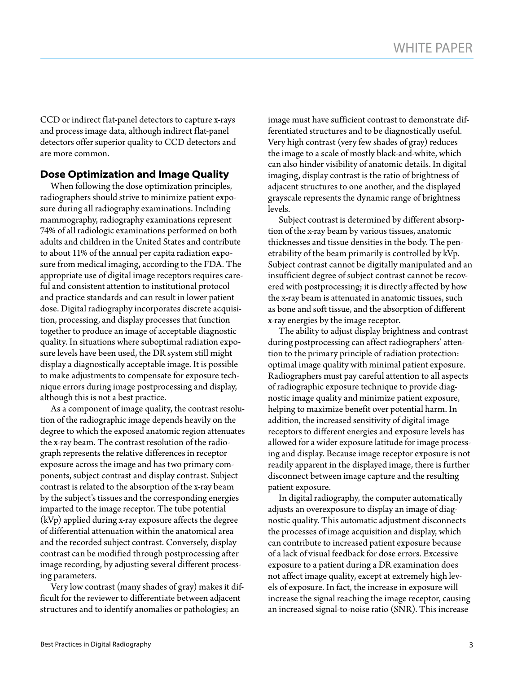CCD or indirect flat-panel detectors to capture x-rays and process image data, although indirect flat-panel detectors offer superior quality to CCD detectors and are more common.

# **Dose Optimization and Image Quality**

When following the dose optimization principles, radiographers should strive to minimize patient exposure during all radiography examinations. Including mammography, radiography examinations represent 74% of all radiologic examinations performed on both adults and children in the United States and contribute to about 11% of the annual per capita radiation exposure from medical imaging, according to the FDA. The appropriate use of digital image receptors requires careful and consistent attention to institutional protocol and practice standards and can result in lower patient dose. Digital radiography incorporates discrete acquisition, processing, and display processes that function together to produce an image of acceptable diagnostic quality. In situations where suboptimal radiation exposure levels have been used, the DR system still might display a diagnostically acceptable image. It is possible to make adjustments to compensate for exposure technique errors during image postprocessing and display, although this is not a best practice.

As a component of image quality, the contrast resolution of the radiographic image depends heavily on the degree to which the exposed anatomic region attenuates the x-ray beam. The contrast resolution of the radiograph represents the relative differences in receptor exposure across the image and has two primary components, subject contrast and display contrast. Subject contrast is related to the absorption of the x-ray beam by the subject's tissues and the corresponding energies imparted to the image receptor. The tube potential (kVp) applied during x-ray exposure affects the degree of differential attenuation within the anatomical area and the recorded subject contrast. Conversely, display contrast can be modified through postprocessing after image recording, by adjusting several different processing parameters.

Very low contrast (many shades of gray) makes it difficult for the reviewer to differentiate between adjacent structures and to identify anomalies or pathologies; an

image must have sufficient contrast to demonstrate differentiated structures and to be diagnostically useful. Very high contrast (very few shades of gray) reduces the image to a scale of mostly black-and-white, which can also hinder visibility of anatomic details. In digital imaging, display contrast is the ratio of brightness of adjacent structures to one another, and the displayed grayscale represents the dynamic range of brightness levels.

Subject contrast is determined by different absorption of the x-ray beam by various tissues, anatomic thicknesses and tissue densities in the body. The penetrability of the beam primarily is controlled by kVp. Subject contrast cannot be digitally manipulated and an insufficient degree of subject contrast cannot be recovered with postprocessing; it is directly affected by how the x-ray beam is attenuated in anatomic tissues, such as bone and soft tissue, and the absorption of different x-ray energies by the image receptor.

The ability to adjust display brightness and contrast during postprocessing can affect radiographers' attention to the primary principle of radiation protection: optimal image quality with minimal patient exposure. Radiographers must pay careful attention to all aspects of radiographic exposure technique to provide diagnostic image quality and minimize patient exposure, helping to maximize benefit over potential harm. In addition, the increased sensitivity of digital image receptors to different energies and exposure levels has allowed for a wider exposure latitude for image processing and display. Because image receptor exposure is not readily apparent in the displayed image, there is further disconnect between image capture and the resulting patient exposure.

In digital radiography, the computer automatically adjusts an overexposure to display an image of diagnostic quality. This automatic adjustment disconnects the processes of image acquisition and display, which can contribute to increased patient exposure because of a lack of visual feedback for dose errors. Excessive exposure to a patient during a DR examination does not affect image quality, except at extremely high levels of exposure. In fact, the increase in exposure will increase the signal reaching the image receptor, causing an increased signal-to-noise ratio (SNR). This increase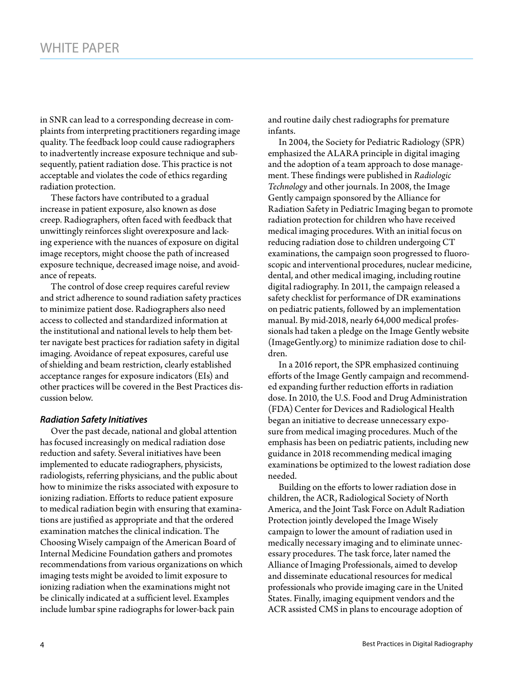in SNR can lead to a corresponding decrease in complaints from interpreting practitioners regarding image quality. The feedback loop could cause radiographers to inadvertently increase exposure technique and subsequently, patient radiation dose. This practice is not acceptable and violates the code of ethics regarding radiation protection.

These factors have contributed to a gradual increase in patient exposure, also known as dose creep. Radiographers, often faced with feedback that unwittingly reinforces slight overexposure and lacking experience with the nuances of exposure on digital image receptors, might choose the path of increased exposure technique, decreased image noise, and avoidance of repeats.

The control of dose creep requires careful review and strict adherence to sound radiation safety practices to minimize patient dose. Radiographers also need access to collected and standardized information at the institutional and national levels to help them better navigate best practices for radiation safety in digital imaging. Avoidance of repeat exposures, careful use of shielding and beam restriction, clearly established acceptance ranges for exposure indicators (EIs) and other practices will be covered in the Best Practices discussion below.

#### *Radiation Safety Initiatives*

Over the past decade, national and global attention has focused increasingly on medical radiation dose reduction and safety. Several initiatives have been implemented to educate radiographers, physicists, radiologists, referring physicians, and the public about how to minimize the risks associated with exposure to ionizing radiation. Efforts to reduce patient exposure to medical radiation begin with ensuring that examinations are justified as appropriate and that the ordered examination matches the clinical indication. The Choosing Wisely campaign of the American Board of Internal Medicine Foundation gathers and promotes recommendations from various organizations on which imaging tests might be avoided to limit exposure to ionizing radiation when the examinations might not be clinically indicated at a sufficient level. Examples include lumbar spine radiographs for lower-back pain

and routine daily chest radiographs for premature infants.

In 2004, the Society for Pediatric Radiology (SPR) emphasized the ALARA principle in digital imaging and the adoption of a team approach to dose management. These findings were published in *Radiologic Technology* and other journals. In 2008, the Image Gently campaign sponsored by the Alliance for Radiation Safety in Pediatric Imaging began to promote radiation protection for children who have received medical imaging procedures. With an initial focus on reducing radiation dose to children undergoing CT examinations, the campaign soon progressed to fluoroscopic and interventional procedures, nuclear medicine, dental, and other medical imaging, including routine digital radiography. In 2011, the campaign released a safety checklist for performance of DR examinations on pediatric patients, followed by an implementation manual. By mid-2018, nearly 64,000 medical professionals had taken a pledge on the Image Gently website (ImageGently.org) to minimize radiation dose to children.

In a 2016 report, the SPR emphasized continuing efforts of the Image Gently campaign and recommended expanding further reduction efforts in radiation dose. In 2010, the U.S. Food and Drug Administration (FDA) Center for Devices and Radiological Health began an initiative to decrease unnecessary exposure from medical imaging procedures. Much of the emphasis has been on pediatric patients, including new guidance in 2018 recommending medical imaging examinations be optimized to the lowest radiation dose needed.

Building on the efforts to lower radiation dose in children, the ACR, Radiological Society of North America, and the Joint Task Force on Adult Radiation Protection jointly developed the Image Wisely campaign to lower the amount of radiation used in medically necessary imaging and to eliminate unnecessary procedures. The task force, later named the Alliance of Imaging Professionals, aimed to develop and disseminate educational resources for medical professionals who provide imaging care in the United States. Finally, imaging equipment vendors and the ACR assisted CMS in plans to encourage adoption of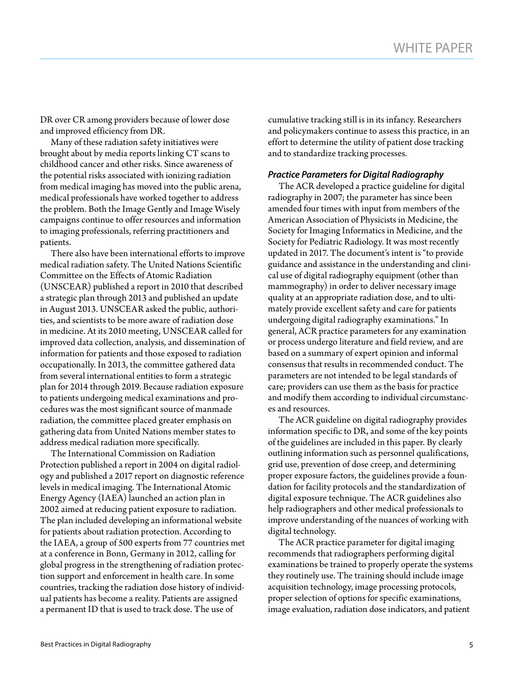DR over CR among providers because of lower dose and improved efficiency from DR.

Many of these radiation safety initiatives were brought about by media reports linking CT scans to childhood cancer and other risks. Since awareness of the potential risks associated with ionizing radiation from medical imaging has moved into the public arena, medical professionals have worked together to address the problem. Both the Image Gently and Image Wisely campaigns continue to offer resources and information to imaging professionals, referring practitioners and patients.

There also have been international efforts to improve medical radiation safety. The United Nations Scientific Committee on the Effects of Atomic Radiation (UNSCEAR) published a report in 2010 that described a strategic plan through 2013 and published an update in August 2013. UNSCEAR asked the public, authorities, and scientists to be more aware of radiation dose in medicine. At its 2010 meeting, UNSCEAR called for improved data collection, analysis, and dissemination of information for patients and those exposed to radiation occupationally. In 2013, the committee gathered data from several international entities to form a strategic plan for 2014 through 2019. Because radiation exposure to patients undergoing medical examinations and procedures was the most significant source of manmade radiation, the committee placed greater emphasis on gathering data from United Nations member states to address medical radiation more specifically.

The International Commission on Radiation Protection published a report in 2004 on digital radiology and published a 2017 report on diagnostic reference levels in medical imaging. The International Atomic Energy Agency (IAEA) launched an action plan in 2002 aimed at reducing patient exposure to radiation. The plan included developing an informational website for patients about radiation protection. According to the IAEA, a group of 500 experts from 77 countries met at a conference in Bonn, Germany in 2012, calling for global progress in the strengthening of radiation protection support and enforcement in health care. In some countries, tracking the radiation dose history of individual patients has become a reality. Patients are assigned a permanent ID that is used to track dose. The use of

cumulative tracking still is in its infancy. Researchers and policymakers continue to assess this practice, in an effort to determine the utility of patient dose tracking and to standardize tracking processes.

#### *Practice Parameters for Digital Radiography*

The ACR developed a practice guideline for digital radiography in 2007; the parameter has since been amended four times with input from members of the American Association of Physicists in Medicine, the Society for Imaging Informatics in Medicine, and the Society for Pediatric Radiology. It was most recently updated in 2017. The document's intent is "to provide guidance and assistance in the understanding and clinical use of digital radiography equipment (other than mammography) in order to deliver necessary image quality at an appropriate radiation dose, and to ultimately provide excellent safety and care for patients undergoing digital radiography examinations." In general, ACR practice parameters for any examination or process undergo literature and field review, and are based on a summary of expert opinion and informal consensus that results in recommended conduct. The parameters are not intended to be legal standards of care; providers can use them as the basis for practice and modify them according to individual circumstances and resources.

The ACR guideline on digital radiography provides information specific to DR, and some of the key points of the guidelines are included in this paper. By clearly outlining information such as personnel qualifications, grid use, prevention of dose creep, and determining proper exposure factors, the guidelines provide a foundation for facility protocols and the standardization of digital exposure technique. The ACR guidelines also help radiographers and other medical professionals to improve understanding of the nuances of working with digital technology.

The ACR practice parameter for digital imaging recommends that radiographers performing digital examinations be trained to properly operate the systems they routinely use. The training should include image acquisition technology, image processing protocols, proper selection of options for specific examinations, image evaluation, radiation dose indicators, and patient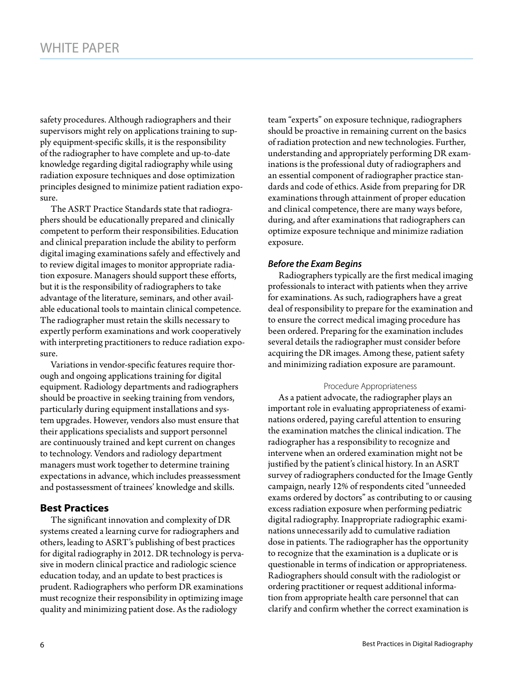safety procedures. Although radiographers and their supervisors might rely on applications training to supply equipment-specific skills, it is the responsibility of the radiographer to have complete and up-to-date knowledge regarding digital radiography while using radiation exposure techniques and dose optimization principles designed to minimize patient radiation exposure.

The ASRT Practice Standards state that radiographers should be educationally prepared and clinically competent to perform their responsibilities.Education and clinical preparation include the ability to perform digital imaging examinations safely and effectively and to review digital images to monitor appropriate radiation exposure. Managers should support these efforts, but it is the responsibility of radiographers to take advantage of the literature, seminars, and other available educational tools to maintain clinical competence. The radiographer must retain the skills necessary to expertly perform examinations and work cooperatively with interpreting practitioners to reduce radiation exposure.

Variations in vendor-specific features require thorough and ongoing applications training for digital equipment. Radiology departments and radiographers should be proactive in seeking training from vendors, particularly during equipment installations and system upgrades. However, vendors also must ensure that their applications specialists and support personnel are continuously trained and kept current on changes to technology. Vendors and radiology department managers must work together to determine training expectations in advance, which includes preassessment and postassessment of trainees' knowledge and skills.

# **Best Practices**

The significant innovation and complexity of DR systems created a learning curve for radiographers and others, leading to ASRT's publishing of best practices for digital radiography in 2012. DR technology is pervasive in modern clinical practice and radiologic science education today, and an update to best practices is prudent. Radiographers who perform DR examinations must recognize their responsibility in optimizing image quality and minimizing patient dose. As the radiology

team "experts" on exposure technique, radiographers should be proactive in remaining current on the basics of radiation protection and new technologies. Further, understanding and appropriately performing DR examinations is the professional duty of radiographers and an essential component of radiographer practice standards and code of ethics. Aside from preparing for DR examinations through attainment of proper education and clinical competence, there are many ways before, during, and after examinations that radiographers can optimize exposure technique and minimize radiation exposure.

## *Before the Exam Begins*

Radiographers typically are the first medical imaging professionals to interact with patients when they arrive for examinations. As such, radiographers have a great deal of responsibility to prepare for the examination and to ensure the correct medical imaging procedure has been ordered. Preparing for the examination includes several details the radiographer must consider before acquiring the DR images. Among these, patient safety and minimizing radiation exposure are paramount.

#### Procedure Appropriateness

As a patient advocate, the radiographer plays an important role in evaluating appropriateness of examinations ordered, paying careful attention to ensuring the examination matches the clinical indication. The radiographer has a responsibility to recognize and intervene when an ordered examination might not be justified by the patient's clinical history. In an ASRT survey of radiographers conducted for the Image Gently campaign, nearly 12% of respondents cited "unneeded exams ordered by doctors" as contributing to or causing excess radiation exposure when performing pediatric digital radiography. Inappropriate radiographic examinations unnecessarily add to cumulative radiation dose in patients. The radiographer has the opportunity to recognize that the examination is a duplicate or is questionable in terms of indication or appropriateness. Radiographers should consult with the radiologist or ordering practitioner or request additional information from appropriate health care personnel that can clarify and confirm whether the correct examination is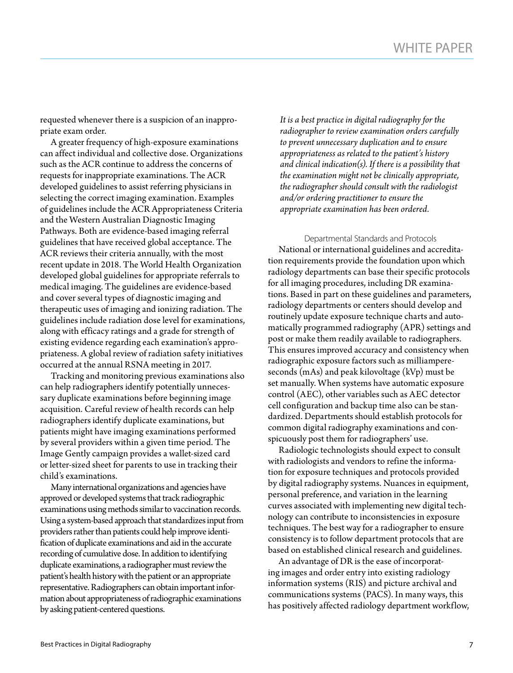requested whenever there is a suspicion of an inappropriate exam order.

A greater frequency of high-exposure examinations can affect individual and collective dose. Organizations such as the ACR continue to address the concerns of requests for inappropriate examinations. The ACR developed guidelines to assist referring physicians in selecting the correct imaging examination. Examples of guidelines include the ACR Appropriateness Criteria and the Western Australian Diagnostic Imaging Pathways. Both are evidence-based imaging referral guidelines that have received global acceptance. The ACR reviews their criteria annually, with the most recent update in 2018. The World Health Organization developed global guidelines for appropriate referrals to medical imaging. The guidelines are evidence-based and cover several types of diagnostic imaging and therapeutic uses of imaging and ionizing radiation. The guidelines include radiation dose level for examinations, along with efficacy ratings and a grade for strength of existing evidence regarding each examination's appropriateness. A global review of radiation safety initiatives occurred at the annual RSNA meeting in 2017.

Tracking and monitoring previous examinations also can help radiographers identify potentially unnecessary duplicate examinations before beginning image acquisition. Careful review of health records can help radiographers identify duplicate examinations, but patients might have imaging examinations performed by several providers within a given time period. The Image Gently campaign provides a wallet-sized card or letter-sized sheet for parents to use in tracking their child's examinations.

Many international organizations and agencies have approved or developed systems that track radiographic examinations using methods similar to vaccination records. Using a system-based approach that standardizes input from providers rather than patients could help improve identification of duplicate examinations and aid in the accurate recording of cumulative dose. In addition to identifying duplicate examinations, a radiographer must review the patient's health history with the patient or an appropriate representative. Radiographers can obtain important information about appropriateness of radiographic examinations by asking patient-centered questions.

*It is a best practice in digital radiography for the radiographer to review examination orders carefully to prevent unnecessary duplication and to ensure appropriateness as related to the patient's history and clinical indication(s). If there is a possibility that the examination might not be clinically appropriate, the radiographer should consult with the radiologist and/or ordering practitioner to ensure the appropriate examination has been ordered.*

Departmental Standards and Protocols National or international guidelines and accreditation requirements provide the foundation upon which radiology departments can base their specific protocols for all imaging procedures, including DR examinations. Based in part on these guidelines and parameters, radiology departments or centers should develop and routinely update exposure technique charts and automatically programmed radiography (APR) settings and post or make them readily available to radiographers. This ensures improved accuracy and consistency when radiographic exposure factors such as milliampereseconds (mAs) and peak kilovoltage (kVp) must be set manually. When systems have automatic exposure control (AEC), other variables such as AEC detector cell configuration and backup time also can be standardized. Departments should establish protocols for common digital radiography examinations and conspicuously post them for radiographers' use.

Radiologic technologists should expect to consult with radiologists and vendors to refine the information for exposure techniques and protocols provided by digital radiography systems. Nuances in equipment, personal preference, and variation in the learning curves associated with implementing new digital technology can contribute to inconsistencies in exposure techniques. The best way for a radiographer to ensure consistency is to follow department protocols that are based on established clinical research and guidelines.

An advantage of DR is the ease of incorporating images and order entry into existing radiology information systems (RIS) and picture archival and communications systems (PACS). In many ways, this has positively affected radiology department workflow,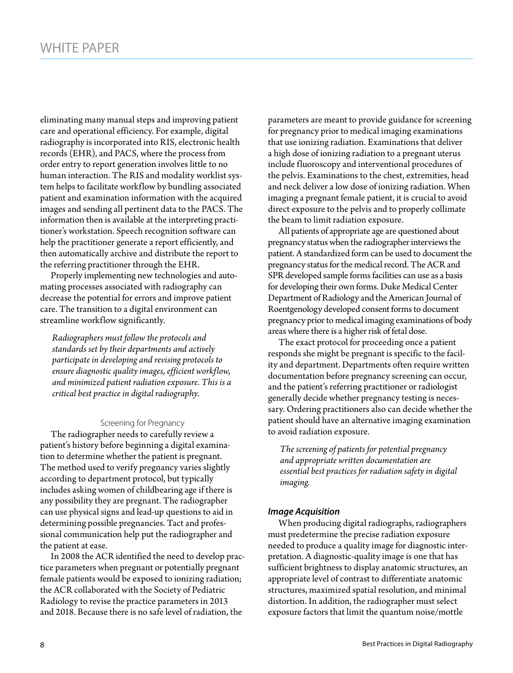eliminating many manual steps and improving patient care and operational efficiency. For example, digital radiography is incorporated into RIS, electronic health records (EHR), and PACS, where the process from order entry to report generation involves little to no human interaction. The RIS and modality worklist system helps to facilitate workflow by bundling associated patient and examination information with the acquired images and sending all pertinent data to the PACS. The information then is available at the interpreting practitioner's workstation. Speech recognition software can help the practitioner generate a report efficiently, and then automatically archive and distribute the report to the referring practitioner through the EHR.

Properly implementing new technologies and automating processes associated with radiography can decrease the potential for errors and improve patient care. The transition to a digital environment can streamline workflow significantly.

*Radiographers must follow the protocols and standards set by their departments and actively participate in developing and revising protocols to ensure diagnostic quality images, efficient workflow, and minimized patient radiation exposure. This is a critical best practice in digital radiography.* 

#### Screening for Pregnancy

The radiographer needs to carefully review a patient's history before beginning a digital examination to determine whether the patient is pregnant. The method used to verify pregnancy varies slightly according to department protocol, but typically includes asking women of childbearing age if there is any possibility they are pregnant. The radiographer can use physical signs and lead-up questions to aid in determining possible pregnancies. Tact and professional communication help put the radiographer and the patient at ease.

In 2008 the ACR identified the need to develop practice parameters when pregnant or potentially pregnant female patients would be exposed to ionizing radiation; the ACR collaborated with the Society of Pediatric Radiology to revise the practice parameters in 2013 and 2018. Because there is no safe level of radiation, the

parameters are meant to provide guidance for screening for pregnancy prior to medical imaging examinations that use ionizing radiation. Examinations that deliver a high dose of ionizing radiation to a pregnant uterus include fluoroscopy and interventional procedures of the pelvis. Examinations to the chest, extremities, head and neck deliver a low dose of ionizing radiation. When imaging a pregnant female patient, it is crucial to avoid direct exposure to the pelvis and to properly collimate the beam to limit radiation exposure.

All patients of appropriate age are questioned about pregnancy status when the radiographer interviews the patient. A standardized form can be used to document the pregnancy status for the medical record. The ACR and SPR developed sample forms facilities can use as a basis for developing their own forms. Duke Medical Center Department of Radiology and the American Journal of Roentgenology developed consent forms to document pregnancy prior to medical imaging examinations of body areas where there is a higher risk of fetal dose.

The exact protocol for proceeding once a patient responds she might be pregnant is specific to the facility and department. Departments often require written documentation before pregnancy screening can occur, and the patient's referring practitioner or radiologist generally decide whether pregnancy testing is necessary. Ordering practitioners also can decide whether the patient should have an alternative imaging examination to avoid radiation exposure.

*The screening of patients for potential pregnancy and appropriate written documentation are essential best practices for radiation safety in digital imaging.*

#### *Image Acquisition*

When producing digital radiographs, radiographers must predetermine the precise radiation exposure needed to produce a quality image for diagnostic interpretation. A diagnostic-quality image is one that has sufficient brightness to display anatomic structures, an appropriate level of contrast to differentiate anatomic structures, maximized spatial resolution, and minimal distortion. In addition, the radiographer must select exposure factors that limit the quantum noise/mottle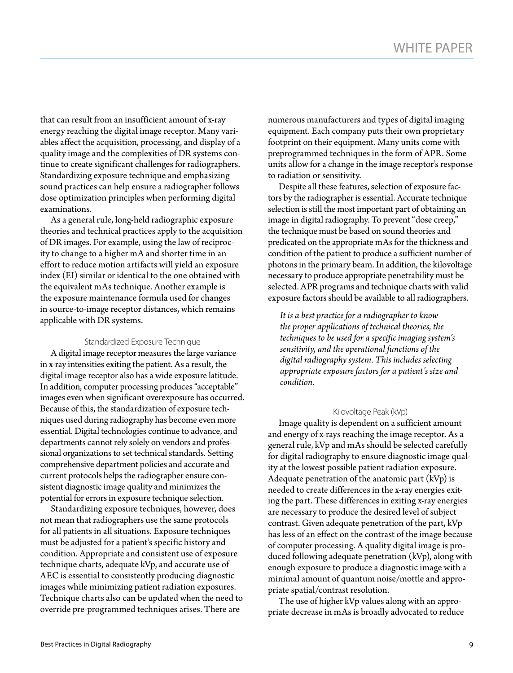that can result from an insufficient amount of x-ray energy reaching the digital image receptor. Many variables affect the acquisition, processing, and display of a quality image and the complexities of DR systems continue to create significant challenges for radiographers. Standardizing exposure technique and emphasizing sound practices can help ensure a radiographer follows dose optimization principles when performing digital examinations.

As a general rule, long-held radiographic exposure theories and technical practices apply to the acquisition of DR images. For example, using the law of reciprocity to change to a higher mA and shorter time in an effort to reduce motion artifacts will yield an exposure index (EI) similar or identical to the one obtained with the equivalent mAs technique. Another example is the exposure maintenance formula used for changes in source-to-image receptor distances, which remains applicable with DR systems.

#### Standardized Exposure Technique

A digital image receptor measures the large variance in x-ray intensities exiting the patient. As a result, the digital image receptor also has a wide exposure latitude. In addition, computer processing produces "acceptable" images even when significant overexposure has occurred. Because of this, the standardization of exposure techniques used during radiography has become even more essential. Digital technologies continue to advance, and departments cannot rely solely on vendors and professional organizations to set technical standards. Setting comprehensive department policies and accurate and current protocols helps the radiographer ensure consistent diagnostic image quality and minimizes the potential for errors in exposure technique selection.

Standardizing exposure techniques, however, does not mean that radiographers use the same protocols for all patients in all situations. Exposure techniques must be adjusted for a patient's specific history and condition. Appropriate and consistent use of exposure technique charts, adequate kVp, and accurate use of AEC is essential to consistently producing diagnostic images while minimizing patient radiation exposures. Technique charts also can be updated when the need to override pre-programmed techniques arises. There are

numerous manufacturers and types of digital imaging equipment. Each company puts their own proprietary footprint on their equipment. Many units come with preprogrammed techniques in the form of APR. Some units allow for a change in the image receptor's response to radiation or sensitivity.

Despite all these features, selection of exposure factors by the radiographer is essential. Accurate technique selection is still the most important part of obtaining an image in digital radiography. To prevent "dose creep," the technique must be based on sound theories and predicated on the appropriate mAs for the thickness and condition of the patient to produce a sufficient number of photons in the primary beam. In addition, the kilovoltage necessary to produce appropriate penetrability must be selected. APR programs and technique charts with valid exposure factors should be available to all radiographers.

*It is a best practice for a radiographer to know the proper applications of technical theories, the techniques to be used for a specific imaging system's sensitivity, and the operational functions of the digital radiography system. This includes selecting appropriate exposure factors for a patient's size and condition.* 

#### Kilovoltage Peak (kVp)

Image quality is dependent on a sufficient amount and energy of x-rays reaching the image receptor. As a general rule, kVp and mAs should be selected carefully for digital radiography to ensure diagnostic image quality at the lowest possible patient radiation exposure. Adequate penetration of the anatomic part  $(kVp)$  is needed to create differences in the x-ray energies exiting the part. These differences in exiting x-ray energies are necessary to produce the desired level of subject contrast. Given adequate penetration of the part, kVp has less of an effect on the contrast of the image because of computer processing. A quality digital image is produced following adequate penetration (kVp), along with enough exposure to produce a diagnostic image with a minimal amount of quantum noise/mottle and appropriate spatial/contrast resolution.

The use of higher kVp values along with an appropriate decrease in mAs is broadly advocated to reduce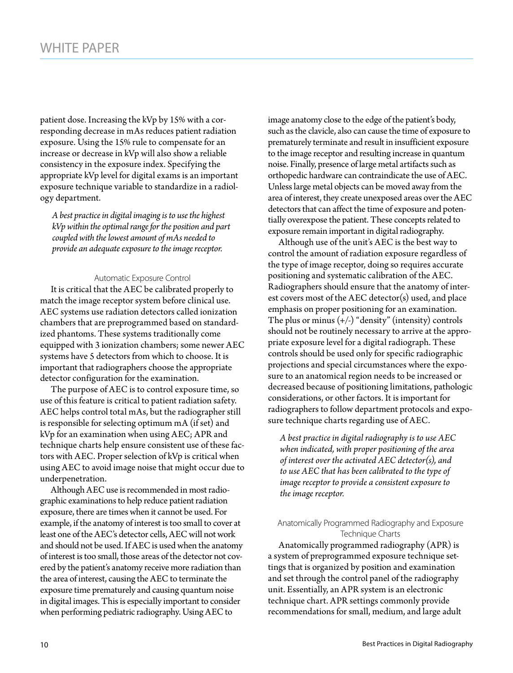patient dose. Increasing the kVp by 15% with a corresponding decrease in mAs reduces patient radiation exposure. Using the 15% rule to compensate for an increase or decrease in kVp will also show a reliable consistency in the exposure index. Specifying the appropriate kVp level for digital exams is an important exposure technique variable to standardize in a radiology department.

*A best practice in digital imaging is to use the highest kVp within the optimal range for the position and part coupled with the lowest amount of mAs needed to provide an adequate exposure to the image receptor.* 

#### Automatic Exposure Control

It is critical that the AEC be calibrated properly to match the image receptor system before clinical use. AEC systems use radiation detectors called ionization chambers that are preprogrammed based on standardized phantoms. These systems traditionally come equipped with 3 ionization chambers; some newer AEC systems have 5 detectors from which to choose. It is important that radiographers choose the appropriate detector configuration for the examination.

The purpose of AEC is to control exposure time, so use of this feature is critical to patient radiation safety. AEC helps control total mAs, but the radiographer still is responsible for selecting optimum mA (if set) and kVp for an examination when using AEC; APR and technique charts help ensure consistent use of these factors with AEC. Proper selection of kVp is critical when using AEC to avoid image noise that might occur due to underpenetration.

Although AEC use is recommended in most radiographic examinations to help reduce patient radiation exposure, there are times when it cannot be used. For example, if the anatomy of interest is too small to cover at least one of the AEC's detector cells, AEC will not work and should not be used. If AEC is used when the anatomy of interest is too small, those areas of the detector not covered by the patient's anatomy receive more radiation than the area of interest, causing the AEC to terminate the exposure time prematurely and causing quantum noise in digital images. This is especially important to consider when performing pediatric radiography. Using AEC to

image anatomy close to the edge of the patient's body, such as the clavicle, also can cause the time of exposure to prematurely terminate and result in insufficient exposure to the image receptor and resulting increase in quantum noise. Finally, presence of large metal artifacts such as orthopedic hardware can contraindicate the use of AEC. Unless large metal objects can be moved away from the area of interest, they create unexposed areas over the AEC detectors that can affect the time of exposure and potentially overexpose the patient. These concepts related to exposure remain important in digital radiography.

Although use of the unit's AEC is the best way to control the amount of radiation exposure regardless of the type of image receptor, doing so requires accurate positioning and systematic calibration of the AEC. Radiographers should ensure that the anatomy of interest covers most of the AEC detector(s) used, and place emphasis on proper positioning for an examination. The plus or minus  $(+/-)$  "density" (intensity) controls should not be routinely necessary to arrive at the appropriate exposure level for a digital radiograph. These controls should be used only for specific radiographic projections and special circumstances where the exposure to an anatomical region needs to be increased or decreased because of positioning limitations, pathologic considerations, or other factors. It is important for radiographers to follow department protocols and exposure technique charts regarding use of AEC.

*A best practice in digital radiography is to use AEC when indicated, with proper positioning of the area of interest over the activated AEC detector(s), and to use AEC that has been calibrated to the type of image receptor to provide a consistent exposure to the image receptor.*

#### Anatomically Programmed Radiography and Exposure Technique Charts

Anatomically programmed radiography (APR) is a system of preprogrammed exposure technique settings that is organized by position and examination and set through the control panel of the radiography unit. Essentially, an APR system is an electronic technique chart. APR settings commonly provide recommendations for small, medium, and large adult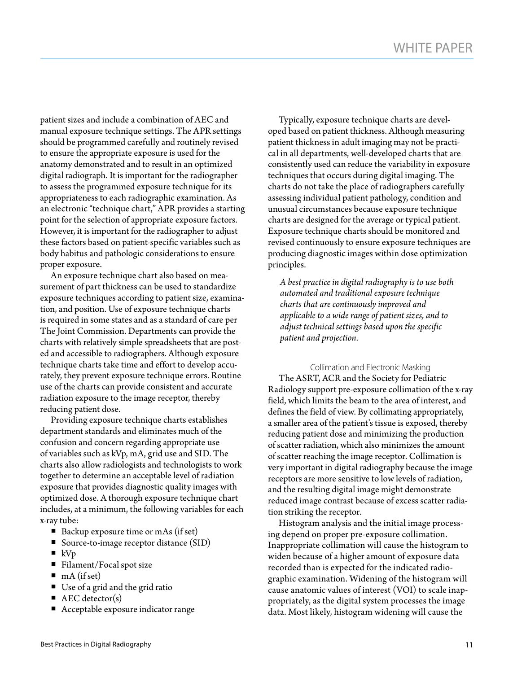patient sizes and include a combination of AEC and manual exposure technique settings. The APR settings should be programmed carefully and routinely revised to ensure the appropriate exposure is used for the anatomy demonstrated and to result in an optimized digital radiograph. It is important for the radiographer to assess the programmed exposure technique for its appropriateness to each radiographic examination. As an electronic "technique chart," APR provides a starting point for the selection of appropriate exposure factors. However, it is important for the radiographer to adjust these factors based on patient-specific variables such as body habitus and pathologic considerations to ensure proper exposure.

An exposure technique chart also based on measurement of part thickness can be used to standardize exposure techniques according to patient size, examination, and position. Use of exposure technique charts is required in some states and as a standard of care per The Joint Commission. Departments can provide the charts with relatively simple spreadsheets that are posted and accessible to radiographers. Although exposure technique charts take time and effort to develop accurately, they prevent exposure technique errors. Routine use of the charts can provide consistent and accurate radiation exposure to the image receptor, thereby reducing patient dose.

Providing exposure technique charts establishes department standards and eliminates much of the confusion and concern regarding appropriate use of variables such as kVp, mA, grid use and SID. The charts also allow radiologists and technologists to work together to determine an acceptable level of radiation exposure that provides diagnostic quality images with optimized dose. A thorough exposure technique chart includes, at a minimum, the following variables for each x-ray tube:

- Backup exposure time or mAs (if set)
- Source-to-image receptor distance (SID)
- $\blacksquare$  kVp
- Filament/Focal spot size
- $mA$  (if set)
- Use of a grid and the grid ratio
- $\blacksquare$  AEC detector(s)
- Acceptable exposure indicator range

Typically, exposure technique charts are developed based on patient thickness. Although measuring patient thickness in adult imaging may not be practical in all departments, well-developed charts that are consistently used can reduce the variability in exposure techniques that occurs during digital imaging. The charts do not take the place of radiographers carefully assessing individual patient pathology, condition and unusual circumstances because exposure technique charts are designed for the average or typical patient. Exposure technique charts should be monitored and revised continuously to ensure exposure techniques are producing diagnostic images within dose optimization principles.

*A best practice in digital radiography is to use both automated and traditional exposure technique charts that are continuously improved and applicable to a wide range of patient sizes, and to adjust technical settings based upon the specific patient and projection.* 

Collimation and Electronic Masking The ASRT, ACR and the Society for Pediatric Radiology support pre-exposure collimation of the x-ray field, which limits the beam to the area of interest, and defines the field of view. By collimating appropriately, a smaller area of the patient's tissue is exposed, thereby reducing patient dose and minimizing the production of scatter radiation, which also minimizes the amount of scatter reaching the image receptor. Collimation is very important in digital radiography because the image receptors are more sensitive to low levels of radiation, and the resulting digital image might demonstrate reduced image contrast because of excess scatter radiation striking the receptor.

Histogram analysis and the initial image processing depend on proper pre-exposure collimation. Inappropriate collimation will cause the histogram to widen because of a higher amount of exposure data recorded than is expected for the indicated radiographic examination. Widening of the histogram will cause anatomic values of interest (VOI) to scale inappropriately, as the digital system processes the image data. Most likely, histogram widening will cause the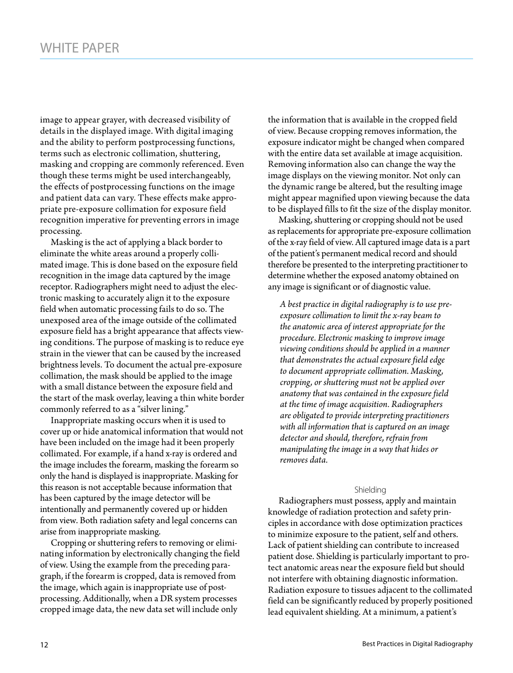image to appear grayer, with decreased visibility of details in the displayed image. With digital imaging and the ability to perform postprocessing functions, terms such as electronic collimation, shuttering, masking and cropping are commonly referenced. Even though these terms might be used interchangeably, the effects of postprocessing functions on the image and patient data can vary. These effects make appropriate pre-exposure collimation for exposure field recognition imperative for preventing errors in image processing.

Masking is the act of applying a black border to eliminate the white areas around a properly collimated image. This is done based on the exposure field recognition in the image data captured by the image receptor. Radiographers might need to adjust the electronic masking to accurately align it to the exposure field when automatic processing fails to do so. The unexposed area of the image outside of the collimated exposure field has a bright appearance that affects viewing conditions. The purpose of masking is to reduce eye strain in the viewer that can be caused by the increased brightness levels. To document the actual pre-exposure collimation, the mask should be applied to the image with a small distance between the exposure field and the start of the mask overlay, leaving a thin white border commonly referred to as a "silver lining."

Inappropriate masking occurs when it is used to cover up or hide anatomical information that would not have been included on the image had it been properly collimated. For example, if a hand x-ray is ordered and the image includes the forearm, masking the forearm so only the hand is displayed is inappropriate. Masking for this reason is not acceptable because information that has been captured by the image detector will be intentionally and permanently covered up or hidden from view. Both radiation safety and legal concerns can arise from inappropriate masking.

Cropping or shuttering refers to removing or eliminating information by electronically changing the field of view. Using the example from the preceding paragraph, if the forearm is cropped, data is removed from the image, which again is inappropriate use of postprocessing. Additionally, when a DR system processes cropped image data, the new data set will include only

the information that is available in the cropped field of view. Because cropping removes information, the exposure indicator might be changed when compared with the entire data set available at image acquisition. Removing information also can change the way the image displays on the viewing monitor. Not only can the dynamic range be altered, but the resulting image might appear magnified upon viewing because the data to be displayed fills to fit the size of the display monitor.

Masking, shuttering or cropping should not be used as replacements for appropriate pre-exposure collimation of the x-ray field of view. All captured image data is a part of the patient's permanent medical record and should therefore be presented to the interpreting practitioner to determine whether the exposed anatomy obtained on any image is significant or of diagnostic value.

*A best practice in digital radiography is to use preexposure collimation to limit the x-ray beam to the anatomic area of interest appropriate for the procedure. Electronic masking to improve image viewing conditions should be applied in a manner that demonstrates the actual exposure field edge to document appropriate collimation. Masking, cropping, or shuttering must not be applied over anatomy that was contained in the exposure field at the time of image acquisition. Radiographers are obligated to provide interpreting practitioners with all information that is captured on an image detector and should, therefore, refrain from manipulating the image in a way that hides or removes data.*

#### Shielding

Radiographers must possess, apply and maintain knowledge of radiation protection and safety principles in accordance with dose optimization practices to minimize exposure to the patient, self and others. Lack of patient shielding can contribute to increased patient dose. Shielding is particularly important to protect anatomic areas near the exposure field but should not interfere with obtaining diagnostic information. Radiation exposure to tissues adjacent to the collimated field can be significantly reduced by properly positioned lead equivalent shielding. At a minimum, a patient's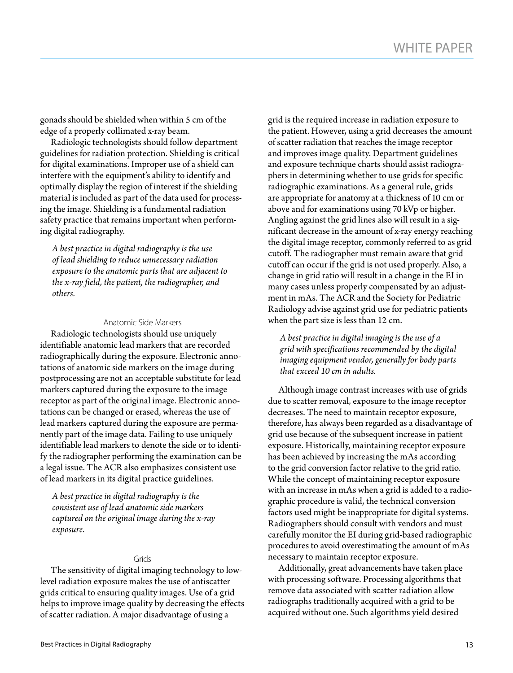gonads should be shielded when within 5 cm of the edge of a properly collimated x-ray beam.

Radiologic technologists should follow department guidelines for radiation protection. Shielding is critical for digital examinations. Improper use of a shield can interfere with the equipment's ability to identify and optimally display the region of interest if the shielding material is included as part of the data used for processing the image. Shielding is a fundamental radiation safety practice that remains important when performing digital radiography.

*A best practice in digital radiography is the use of lead shielding to reduce unnecessary radiation exposure to the anatomic parts that are adjacent to the x-ray field, the patient, the radiographer, and others.* 

#### Anatomic Side Markers

Radiologic technologists should use uniquely identifiable anatomic lead markers that are recorded radiographically during the exposure. Electronic annotations of anatomic side markers on the image during postprocessing are not an acceptable substitute for lead markers captured during the exposure to the image receptor as part of the original image. Electronic annotations can be changed or erased, whereas the use of lead markers captured during the exposure are permanently part of the image data. Failing to use uniquely identifiable lead markers to denote the side or to identify the radiographer performing the examination can be a legal issue. The ACR also emphasizes consistent use of lead markers in its digital practice guidelines.

*A best practice in digital radiography is the consistent use of lead anatomic side markers captured on the original image during the x-ray exposure.* 

#### Grids

The sensitivity of digital imaging technology to lowlevel radiation exposure makes the use of antiscatter grids critical to ensuring quality images. Use of a grid helps to improve image quality by decreasing the effects of scatter radiation. A major disadvantage of using a

grid is the required increase in radiation exposure to the patient. However, using a grid decreases the amount of scatter radiation that reaches the image receptor and improves image quality. Department guidelines and exposure technique charts should assist radiographers in determining whether to use grids for specific radiographic examinations. As a general rule, grids are appropriate for anatomy at a thickness of 10 cm or above and for examinations using 70 kVp or higher. Angling against the grid lines also will result in a significant decrease in the amount of x-ray energy reaching the digital image receptor, commonly referred to as grid cutoff. The radiographer must remain aware that grid cutoff can occur if the grid is not used properly. Also, a change in grid ratio will result in a change in the EI in many cases unless properly compensated by an adjustment in mAs. The ACR and the Society for Pediatric Radiology advise against grid use for pediatric patients when the part size is less than 12 cm.

*A best practice in digital imaging is the use of a grid with specifications recommended by the digital imaging equipment vendor, generally for body parts that exceed 10 cm in adults.* 

Although image contrast increases with use of grids due to scatter removal, exposure to the image receptor decreases. The need to maintain receptor exposure, therefore, has always been regarded as a disadvantage of grid use because of the subsequent increase in patient exposure. Historically, maintaining receptor exposure has been achieved by increasing the mAs according to the grid conversion factor relative to the grid ratio. While the concept of maintaining receptor exposure with an increase in mAs when a grid is added to a radiographic procedure is valid, the technical conversion factors used might be inappropriate for digital systems. Radiographers should consult with vendors and must carefully monitor the EI during grid-based radiographic procedures to avoid overestimating the amount of mAs necessary to maintain receptor exposure.

Additionally, great advancements have taken place with processing software. Processing algorithms that remove data associated with scatter radiation allow radiographs traditionally acquired with a grid to be acquired without one. Such algorithms yield desired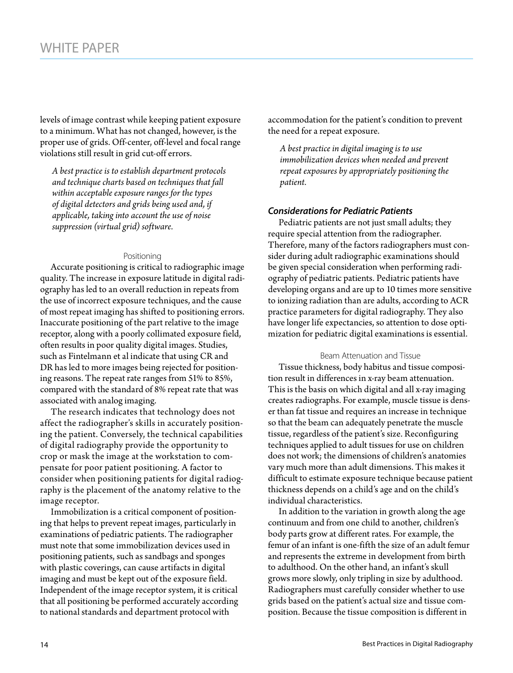levels of image contrast while keeping patient exposure to a minimum. What has not changed, however, is the proper use of grids. Off-center, off-level and focal range violations still result in grid cut-off errors.

*A best practice is to establish department protocols and technique charts based on techniques that fall within acceptable exposure ranges for the types of digital detectors and grids being used and, if applicable, taking into account the use of noise suppression (virtual grid) software.*

#### Positioning

Accurate positioning is critical to radiographic image quality. The increase in exposure latitude in digital radiography has led to an overall reduction in repeats from the use of incorrect exposure techniques, and the cause of most repeat imaging has shifted to positioning errors. Inaccurate positioning of the part relative to the image receptor, along with a poorly collimated exposure field, often results in poor quality digital images. Studies, such as Fintelmann et al indicate that using CR and DR has led to more images being rejected for positioning reasons. The repeat rate ranges from 51% to 85%, compared with the standard of 8% repeat rate that was associated with analog imaging.

The research indicates that technology does not affect the radiographer's skills in accurately positioning the patient. Conversely, the technical capabilities of digital radiography provide the opportunity to crop or mask the image at the workstation to compensate for poor patient positioning. A factor to consider when positioning patients for digital radiography is the placement of the anatomy relative to the image receptor.

Immobilization is a critical component of positioning that helps to prevent repeat images, particularly in examinations of pediatric patients. The radiographer must note that some immobilization devices used in positioning patients, such as sandbags and sponges with plastic coverings, can cause artifacts in digital imaging and must be kept out of the exposure field. Independent of the image receptor system, it is critical that all positioning be performed accurately according to national standards and department protocol with

accommodation for the patient's condition to prevent the need for a repeat exposure.

*A best practice in digital imaging is to use immobilization devices when needed and prevent repeat exposures by appropriately positioning the patient.* 

#### *Considerations for Pediatric Patients*

Pediatric patients are not just small adults; they require special attention from the radiographer. Therefore, many of the factors radiographers must consider during adult radiographic examinations should be given special consideration when performing radiography of pediatric patients. Pediatric patients have developing organs and are up to 10 times more sensitive to ionizing radiation than are adults, according to ACR practice parameters for digital radiography. They also have longer life expectancies, so attention to dose optimization for pediatric digital examinations is essential.

#### Beam Attenuation and Tissue

Tissue thickness, body habitus and tissue composition result in differences in x-ray beam attenuation. This is the basis on which digital and all x-ray imaging creates radiographs. For example, muscle tissue is denser than fat tissue and requires an increase in technique so that the beam can adequately penetrate the muscle tissue, regardless of the patient's size. Reconfiguring techniques applied to adult tissues for use on children does not work; the dimensions of children's anatomies vary much more than adult dimensions. This makes it difficult to estimate exposure technique because patient thickness depends on a child's age and on the child's individual characteristics.

In addition to the variation in growth along the age continuum and from one child to another, children's body parts grow at different rates. For example, the femur of an infant is one-fifth the size of an adult femur and represents the extreme in development from birth to adulthood. On the other hand, an infant's skull grows more slowly, only tripling in size by adulthood. Radiographers must carefully consider whether to use grids based on the patient's actual size and tissue composition. Because the tissue composition is different in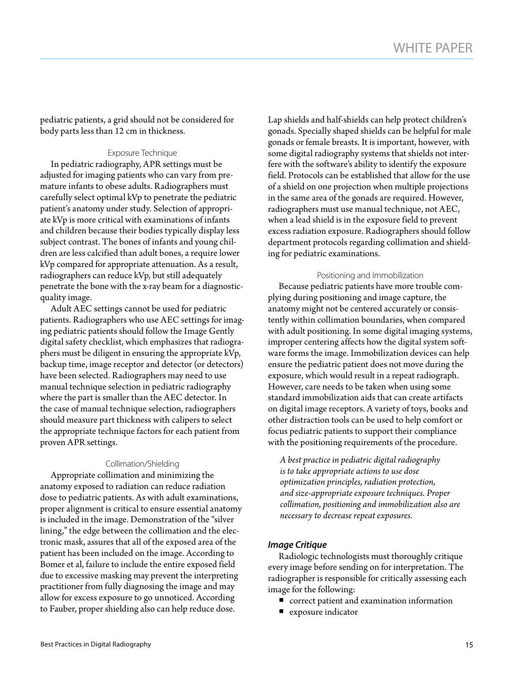pediatric patients, a grid should not be considered for body parts less than 12 cm in thickness.

#### Exposure Technique

In pediatric radiography, APR settings must be adjusted for imaging patients who can vary from premature infants to obese adults. Radiographers must carefully select optimal kVp to penetrate the pediatric patient's anatomy under study. Selection of appropriate kVp is more critical with examinations of infants and children because their bodies typically display less subject contrast. The bones of infants and young children are less calcified than adult bones, a require lower kVp compared for appropriate attenuation. As a result, radiographers can reduce kVp, but still adequately penetrate the bone with the x-ray beam for a diagnosticquality image.

Adult AEC settings cannot be used for pediatric patients. Radiographers who use AEC settings for imaging pediatric patients should follow the Image Gently digital safety checklist, which emphasizes that radiographers must be diligent in ensuring the appropriate kVp, backup time, image receptor and detector (or detectors) have been selected. Radiographers may need to use manual technique selection in pediatric radiography where the part is smaller than the AEC detector. In the case of manual technique selection, radiographers should measure part thickness with calipers to select the appropriate technique factors for each patient from proven APR settings.

#### Collimation/Shielding

Appropriate collimation and minimizing the anatomy exposed to radiation can reduce radiation dose to pediatric patients. As with adult examinations, proper alignment is critical to ensure essential anatomy is included in the image. Demonstration of the "silver lining," the edge between the collimation and the electronic mask, assures that all of the exposed area of the patient has been included on the image. According to Bomer et al, failure to include the entire exposed field due to excessive masking may prevent the interpreting practitioner from fully diagnosing the image and may allow for excess exposure to go unnoticed. According to Fauber, proper shielding also can help reduce dose.

Lap shields and half-shields can help protect children's gonads. Specially shaped shields can be helpful for male gonads or female breasts. It is important, however, with some digital radiography systems that shields not interfere with the software's ability to identify the exposure field. Protocols can be established that allow for the use of a shield on one projection when multiple projections in the same area of the gonads are required. However, radiographers must use manual technique, not AEC, when a lead shield is in the exposure field to prevent excess radiation exposure. Radiographers should follow department protocols regarding collimation and shielding for pediatric examinations.

#### Positioning and Immobilization

Because pediatric patients have more trouble complying during positioning and image capture, the anatomy might not be centered accurately or consistently within collimation boundaries, when compared with adult positioning. In some digital imaging systems, improper centering affects how the digital system software forms the image. Immobilization devices can help ensure the pediatric patient does not move during the exposure, which would result in a repeat radiograph. However, care needs to be taken when using some standard immobilization aids that can create artifacts on digital image receptors. A variety of toys, books and other distraction tools can be used to help comfort or focus pediatric patients to support their compliance with the positioning requirements of the procedure.

*A best practice in pediatric digital radiography is to take appropriate actions to use dose optimization principles, radiation protection, and size-appropriate exposure techniques. Proper collimation, positioning and immobilization also are necessary to decrease repeat exposures.*

#### *Image Critique*

Radiologic technologists must thoroughly critique every image before sending on for interpretation. The radiographer is responsible for critically assessing each image for the following:

- $\quad \rule{2mm}{2mm}$  correct patient and examination information
- exposure indicator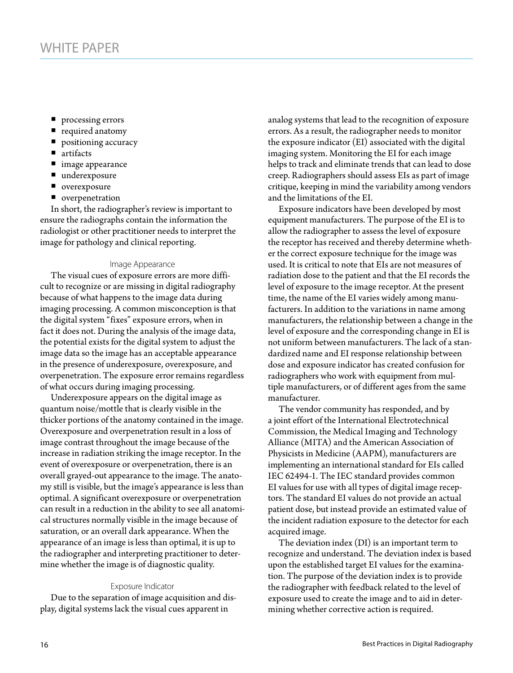- processing errors
- required anatomy
- **positioning accuracy**
- artifacts
- image appearance
- underexposure
- overexposure
- **n** overpenetration

In short, the radiographer's review is important to ensure the radiographs contain the information the radiologist or other practitioner needs to interpret the image for pathology and clinical reporting.

#### Image Appearance

The visual cues of exposure errors are more difficult to recognize or are missing in digital radiography because of what happens to the image data during imaging processing. A common misconception is that the digital system "fixes" exposure errors, when in fact it does not. During the analysis of the image data, the potential exists for the digital system to adjust the image data so the image has an acceptable appearance in the presence of underexposure, overexposure, and overpenetration. The exposure error remains regardless of what occurs during imaging processing.

Underexposure appears on the digital image as quantum noise/mottle that is clearly visible in the thicker portions of the anatomy contained in the image. Overexposure and overpenetration result in a loss of image contrast throughout the image because of the increase in radiation striking the image receptor. In the event of overexposure or overpenetration, there is an overall grayed-out appearance to the image. The anatomy still is visible, but the image's appearance is less than optimal. A significant overexposure or overpenetration can result in a reduction in the ability to see all anatomical structures normally visible in the image because of saturation, or an overall dark appearance. When the appearance of an image is less than optimal, it is up to the radiographer and interpreting practitioner to determine whether the image is of diagnostic quality.

#### Exposure Indicator

Due to the separation of image acquisition and display, digital systems lack the visual cues apparent in

analog systems that lead to the recognition of exposure errors. As a result, the radiographer needs to monitor the exposure indicator (EI) associated with the digital imaging system. Monitoring the EI for each image helps to track and eliminate trends that can lead to dose creep. Radiographers should assess EIs as part of image critique, keeping in mind the variability among vendors and the limitations of the EI.

Exposure indicators have been developed by most equipment manufacturers. The purpose of the EI is to allow the radiographer to assess the level of exposure the receptor has received and thereby determine whether the correct exposure technique for the image was used. It is critical to note that EIs are not measures of radiation dose to the patient and that the EI records the level of exposure to the image receptor. At the present time, the name of the EI varies widely among manufacturers. In addition to the variations in name among manufacturers, the relationship between a change in the level of exposure and the corresponding change in EI is not uniform between manufacturers. The lack of a standardized name and EI response relationship between dose and exposure indicator has created confusion for radiographers who work with equipment from multiple manufacturers, or of different ages from the same manufacturer.

The vendor community has responded, and by a joint effort of the International Electrotechnical Commission, the Medical Imaging and Technology Alliance (MITA) and the American Association of Physicists in Medicine (AAPM), manufacturers are implementing an international standard for EIs called IEC 62494-1. The IEC standard provides common EI values for use with all types of digital image receptors. The standard EI values do not provide an actual patient dose, but instead provide an estimated value of the incident radiation exposure to the detector for each acquired image.

The deviation index (DI) is an important term to recognize and understand. The deviation index is based upon the established target EI values for the examination. The purpose of the deviation index is to provide the radiographer with feedback related to the level of exposure used to create the image and to aid in determining whether corrective action is required.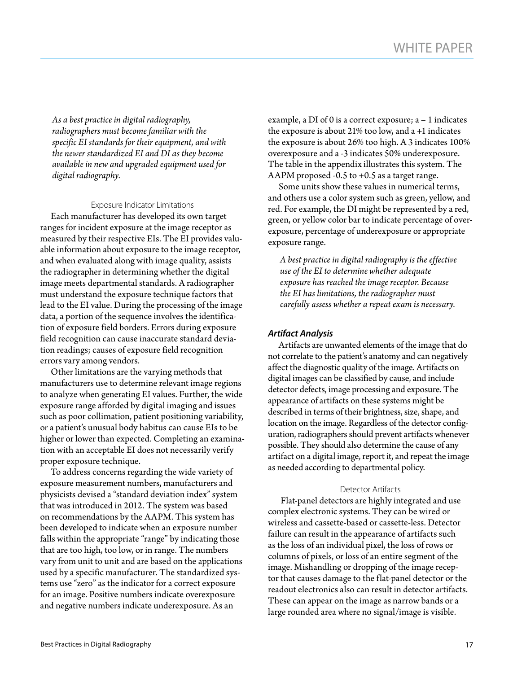*As a best practice in digital radiography, radiographers must become familiar with the specific EI standards for their equipment, and with the newer standardized EI and DI as they become available in new and upgraded equipment used for digital radiography.* 

#### Exposure Indicator Limitations

Each manufacturer has developed its own target ranges for incident exposure at the image receptor as measured by their respective EIs. The EI provides valuable information about exposure to the image receptor, and when evaluated along with image quality, assists the radiographer in determining whether the digital image meets departmental standards. A radiographer must understand the exposure technique factors that lead to the EI value. During the processing of the image data, a portion of the sequence involves the identification of exposure field borders. Errors during exposure field recognition can cause inaccurate standard deviation readings; causes of exposure field recognition errors vary among vendors.

Other limitations are the varying methods that manufacturers use to determine relevant image regions to analyze when generating EI values. Further, the wide exposure range afforded by digital imaging and issues such as poor collimation, patient positioning variability, or a patient's unusual body habitus can cause EIs to be higher or lower than expected. Completing an examination with an acceptable EI does not necessarily verify proper exposure technique.

To address concerns regarding the wide variety of exposure measurement numbers, manufacturers and physicists devised a "standard deviation index" system that was introduced in 2012. The system was based on recommendations by the AAPM. This system has been developed to indicate when an exposure number falls within the appropriate "range" by indicating those that are too high, too low, or in range. The numbers vary from unit to unit and are based on the applications used by a specific manufacturer. The standardized systems use "zero" as the indicator for a correct exposure for an image. Positive numbers indicate overexposure and negative numbers indicate underexposure. As an

example, a DI of 0 is a correct exposure; a – 1 indicates the exposure is about 21% too low, and a +1 indicates the exposure is about 26% too high. A 3 indicates 100% overexposure and a -3 indicates 50% underexposure. The table in the appendix illustrates this system. The AAPM proposed -0.5 to +0.5 as a target range.

Some units show these values in numerical terms, and others use a color system such as green, yellow, and red. For example, the DI might be represented by a red, green, or yellow color bar to indicate percentage of overexposure, percentage of underexposure or appropriate exposure range.

*A best practice in digital radiography is the effective use of the EI to determine whether adequate exposure has reached the image receptor. Because the EI has limitations, the radiographer must carefully assess whether a repeat exam is necessary.* 

#### *Artifact Analysis*

Artifacts are unwanted elements of the image that do not correlate to the patient's anatomy and can negatively affect the diagnostic quality of the image. Artifacts on digital images can be classified by cause, and include detector defects, image processing and exposure. The appearance of artifacts on these systems might be described in terms of their brightness, size, shape, and location on the image. Regardless of the detector configuration, radiographers should prevent artifacts whenever possible. They should also determine the cause of any artifact on a digital image, report it, and repeat the image as needed according to departmental policy.

#### Detector Artifacts

 Flat-panel detectors are highly integrated and use complex electronic systems. They can be wired or wireless and cassette-based or cassette-less. Detector failure can result in the appearance of artifacts such as the loss of an individual pixel, the loss of rows or columns of pixels, or loss of an entire segment of the image. Mishandling or dropping of the image receptor that causes damage to the flat-panel detector or the readout electronics also can result in detector artifacts. These can appear on the image as narrow bands or a large rounded area where no signal/image is visible.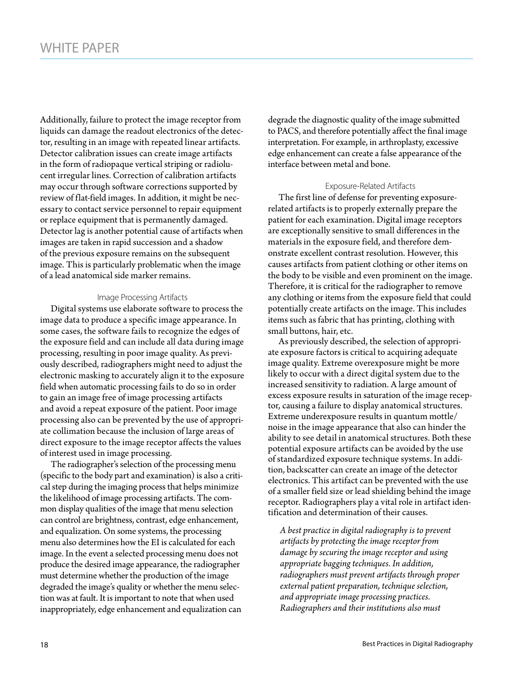Additionally, failure to protect the image receptor from liquids can damage the readout electronics of the detector, resulting in an image with repeated linear artifacts. Detector calibration issues can create image artifacts in the form of radiopaque vertical striping or radiolucent irregular lines. Correction of calibration artifacts may occur through software corrections supported by review of flat-field images. In addition, it might be necessary to contact service personnel to repair equipment or replace equipment that is permanently damaged. Detector lag is another potential cause of artifacts when images are taken in rapid succession and a shadow of the previous exposure remains on the subsequent image. This is particularly problematic when the image of a lead anatomical side marker remains.

#### Image Processing Artifacts

Digital systems use elaborate software to process the image data to produce a specific image appearance. In some cases, the software fails to recognize the edges of the exposure field and can include all data during image processing, resulting in poor image quality. As previously described, radiographers might need to adjust the electronic masking to accurately align it to the exposure field when automatic processing fails to do so in order to gain an image free of image processing artifacts and avoid a repeat exposure of the patient. Poor image processing also can be prevented by the use of appropriate collimation because the inclusion of large areas of direct exposure to the image receptor affects the values of interest used in image processing.

The radiographer's selection of the processing menu (specific to the body part and examination) is also a critical step during the imaging process that helps minimize the likelihood of image processing artifacts. The common display qualities of the image that menu selection can control are brightness, contrast, edge enhancement, and equalization. On some systems, the processing menu also determines how the EI is calculated for each image. In the event a selected processing menu does not produce the desired image appearance, the radiographer must determine whether the production of the image degraded the image's quality or whether the menu selection was at fault. It is important to note that when used inappropriately, edge enhancement and equalization can

degrade the diagnostic quality of the image submitted to PACS, and therefore potentially affect the final image interpretation. For example, in arthroplasty, excessive edge enhancement can create a false appearance of the interface between metal and bone.

#### Exposure-Related Artifacts

The first line of defense for preventing exposurerelated artifacts is to properly externally prepare the patient for each examination. Digital image receptors are exceptionally sensitive to small differences in the materials in the exposure field, and therefore demonstrate excellent contrast resolution. However, this causes artifacts from patient clothing or other items on the body to be visible and even prominent on the image. Therefore, it is critical for the radiographer to remove any clothing or items from the exposure field that could potentially create artifacts on the image. This includes items such as fabric that has printing, clothing with small buttons, hair, etc.

As previously described, the selection of appropriate exposure factors is critical to acquiring adequate image quality. Extreme overexposure might be more likely to occur with a direct digital system due to the increased sensitivity to radiation. A large amount of excess exposure results in saturation of the image receptor, causing a failure to display anatomical structures. Extreme underexposure results in quantum mottle/ noise in the image appearance that also can hinder the ability to see detail in anatomical structures. Both these potential exposure artifacts can be avoided by the use of standardized exposure technique systems. In addition, backscatter can create an image of the detector electronics. This artifact can be prevented with the use of a smaller field size or lead shielding behind the image receptor. Radiographers play a vital role in artifact identification and determination of their causes.

*A best practice in digital radiography is to prevent artifacts by protecting the image receptor from damage by securing the image receptor and using appropriate bagging techniques. In addition, radiographers must prevent artifacts through proper external patient preparation, technique selection, and appropriate image processing practices. Radiographers and their institutions also must*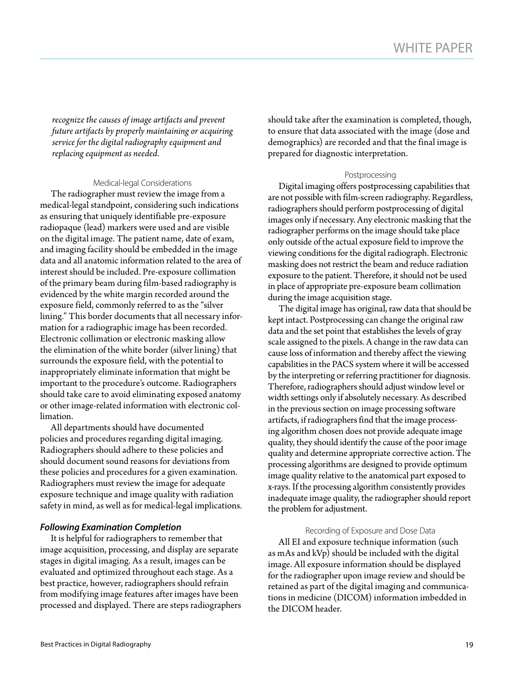*recognize the causes of image artifacts and prevent future artifacts by properly maintaining or acquiring service for the digital radiography equipment and replacing equipment as needed.* 

## Medical-legal Considerations

The radiographer must review the image from a medical-legal standpoint, considering such indications as ensuring that uniquely identifiable pre-exposure radiopaque (lead) markers were used and are visible on the digital image. The patient name, date of exam, and imaging facility should be embedded in the image data and all anatomic information related to the area of interest should be included. Pre-exposure collimation of the primary beam during film-based radiography is evidenced by the white margin recorded around the exposure field, commonly referred to as the "silver lining." This border documents that all necessary information for a radiographic image has been recorded. Electronic collimation or electronic masking allow the elimination of the white border (silver lining) that surrounds the exposure field, with the potential to inappropriately eliminate information that might be important to the procedure's outcome. Radiographers should take care to avoid eliminating exposed anatomy or other image-related information with electronic collimation.

All departments should have documented policies and procedures regarding digital imaging. Radiographers should adhere to these policies and should document sound reasons for deviations from these policies and procedures for a given examination. Radiographers must review the image for adequate exposure technique and image quality with radiation safety in mind, as well as for medical-legal implications.

# *Following Examination Completion*

It is helpful for radiographers to remember that image acquisition, processing, and display are separate stages in digital imaging. As a result, images can be evaluated and optimized throughout each stage. As a best practice, however, radiographers should refrain from modifying image features after images have been processed and displayed. There are steps radiographers should take after the examination is completed, though, to ensure that data associated with the image (dose and demographics) are recorded and that the final image is prepared for diagnostic interpretation.

## Postprocessing

Digital imaging offers postprocessing capabilities that are not possible with film-screen radiography. Regardless, radiographers should perform postprocessing of digital images only if necessary. Any electronic masking that the radiographer performs on the image should take place only outside of the actual exposure field to improve the viewing conditions for the digital radiograph. Electronic masking does not restrict the beam and reduce radiation exposure to the patient. Therefore, it should not be used in place of appropriate pre-exposure beam collimation during the image acquisition stage.

The digital image has original, raw data that should be kept intact. Postprocessing can change the original raw data and the set point that establishes the levels of gray scale assigned to the pixels. A change in the raw data can cause loss of information and thereby affect the viewing capabilities in the PACS system where it will be accessed by the interpreting or referring practitioner for diagnosis. Therefore, radiographers should adjust window level or width settings only if absolutely necessary. As described in the previous section on image processing software artifacts, if radiographers find that the image processing algorithm chosen does not provide adequate image quality, they should identify the cause of the poor image quality and determine appropriate corrective action. The processing algorithms are designed to provide optimum image quality relative to the anatomical part exposed to x-rays. If the processing algorithm consistently provides inadequate image quality, the radiographer should report the problem for adjustment.

#### Recording of Exposure and Dose Data

All EI and exposure technique information (such as mAs and kVp) should be included with the digital image. All exposure information should be displayed for the radiographer upon image review and should be retained as part of the digital imaging and communications in medicine (DICOM) information imbedded in the DICOM header.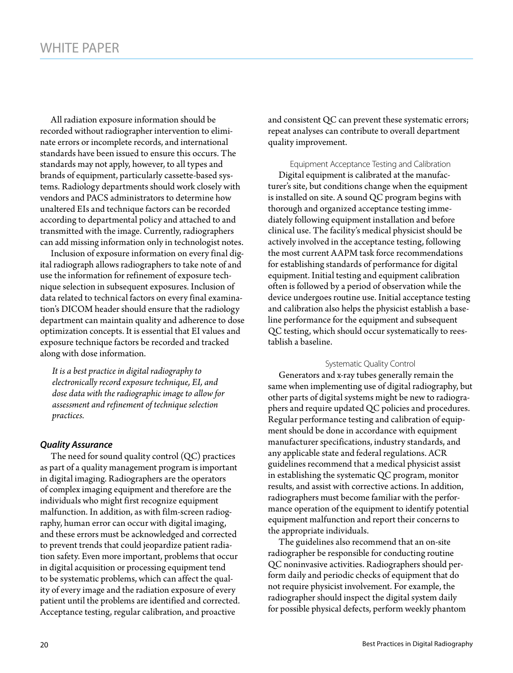All radiation exposure information should be recorded without radiographer intervention to eliminate errors or incomplete records, and international standards have been issued to ensure this occurs. The standards may not apply, however, to all types and brands of equipment, particularly cassette-based systems. Radiology departments should work closely with vendors and PACS administrators to determine how unaltered EIs and technique factors can be recorded according to departmental policy and attached to and transmitted with the image. Currently, radiographers can add missing information only in technologist notes.

Inclusion of exposure information on every final digital radiograph allows radiographers to take note of and use the information for refinement of exposure technique selection in subsequent exposures. Inclusion of data related to technical factors on every final examination's DICOM header should ensure that the radiology department can maintain quality and adherence to dose optimization concepts. It is essential that EI values and exposure technique factors be recorded and tracked along with dose information.

*It is a best practice in digital radiography to electronically record exposure technique, EI, and dose data with the radiographic image to allow for assessment and refinement of technique selection practices.*

#### *Quality Assurance*

The need for sound quality control  $(QC)$  practices as part of a quality management program is important in digital imaging. Radiographers are the operators of complex imaging equipment and therefore are the individuals who might first recognize equipment malfunction. In addition, as with film-screen radiography, human error can occur with digital imaging, and these errors must be acknowledged and corrected to prevent trends that could jeopardize patient radiation safety. Even more important, problems that occur in digital acquisition or processing equipment tend to be systematic problems, which can affect the quality of every image and the radiation exposure of every patient until the problems are identified and corrected. Acceptance testing, regular calibration, and proactive

and consistent QC can prevent these systematic errors; repeat analyses can contribute to overall department quality improvement.

Equipment Acceptance Testing and Calibration

Digital equipment is calibrated at the manufacturer's site, but conditions change when the equipment is installed on site. A sound QC program begins with thorough and organized acceptance testing immediately following equipment installation and before clinical use. The facility's medical physicist should be actively involved in the acceptance testing, following the most current AAPM task force recommendations for establishing standards of performance for digital equipment. Initial testing and equipment calibration often is followed by a period of observation while the device undergoes routine use. Initial acceptance testing and calibration also helps the physicist establish a baseline performance for the equipment and subsequent QC testing, which should occur systematically to reestablish a baseline.

#### Systematic Quality Control

Generators and x-ray tubes generally remain the same when implementing use of digital radiography, but other parts of digital systems might be new to radiographers and require updated QC policies and procedures. Regular performance testing and calibration of equipment should be done in accordance with equipment manufacturer specifications, industry standards, and any applicable state and federal regulations. ACR guidelines recommend that a medical physicist assist in establishing the systematic QC program, monitor results, and assist with corrective actions. In addition, radiographers must become familiar with the performance operation of the equipment to identify potential equipment malfunction and report their concerns to the appropriate individuals.

The guidelines also recommend that an on-site radiographer be responsible for conducting routine QC noninvasive activities. Radiographers should perform daily and periodic checks of equipment that do not require physicist involvement. For example, the radiographer should inspect the digital system daily for possible physical defects, perform weekly phantom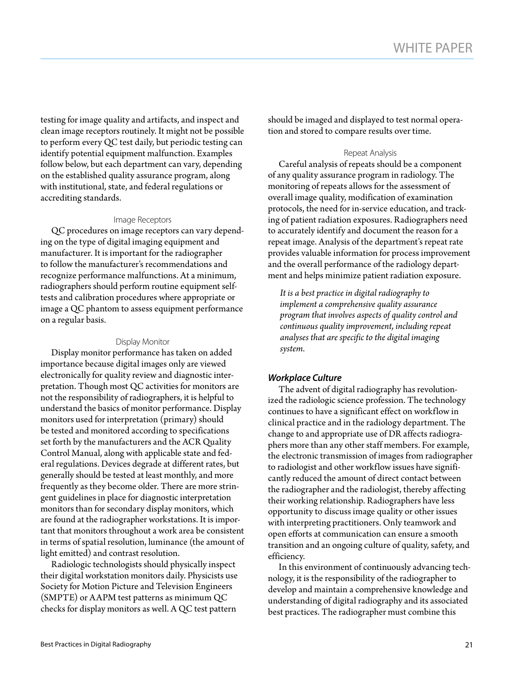testing for image quality and artifacts, and inspect and clean image receptors routinely. It might not be possible to perform every QC test daily, but periodic testing can identify potential equipment malfunction. Examples follow below, but each department can vary, depending on the established quality assurance program, along with institutional, state, and federal regulations or accrediting standards.

#### Image Receptors

QC procedures on image receptors can vary depending on the type of digital imaging equipment and manufacturer. It is important for the radiographer to follow the manufacturer's recommendations and recognize performance malfunctions. At a minimum, radiographers should perform routine equipment selftests and calibration procedures where appropriate or image a QC phantom to assess equipment performance on a regular basis.

#### Display Monitor

Display monitor performance has taken on added importance because digital images only are viewed electronically for quality review and diagnostic interpretation. Though most QC activities for monitors are not the responsibility of radiographers, it is helpful to understand the basics of monitor performance. Display monitors used for interpretation (primary) should be tested and monitored according to specifications set forth by the manufacturers and the ACR Quality Control Manual, along with applicable state and federal regulations. Devices degrade at different rates, but generally should be tested at least monthly, and more frequently as they become older. There are more stringent guidelines in place for diagnostic interpretation monitors than for secondary display monitors, which are found at the radiographer workstations. It is important that monitors throughout a work area be consistent in terms of spatial resolution, luminance (the amount of light emitted) and contrast resolution.

Radiologic technologists should physically inspect their digital workstation monitors daily. Physicists use Society for Motion Picture and Television Engineers (SMPTE) or AAPM test patterns as minimum QC checks for display monitors as well. A QC test pattern

should be imaged and displayed to test normal operation and stored to compare results over time.

#### Repeat Analysis

Careful analysis of repeats should be a component of any quality assurance program in radiology. The monitoring of repeats allows for the assessment of overall image quality, modification of examination protocols, the need for in-service education, and tracking of patient radiation exposures. Radiographers need to accurately identify and document the reason for a repeat image. Analysis of the department's repeat rate provides valuable information for process improvement and the overall performance of the radiology department and helps minimize patient radiation exposure.

*It is a best practice in digital radiography to implement a comprehensive quality assurance program that involves aspects of quality control and continuous quality improvement, including repeat analyses that are specific to the digital imaging system.*

#### *Workplace Culture*

The advent of digital radiography has revolutionized the radiologic science profession. The technology continues to have a significant effect on workflow in clinical practice and in the radiology department. The change to and appropriate use of DR affects radiographers more than any other staff members. For example, the electronic transmission of images from radiographer to radiologist and other workflow issues have significantly reduced the amount of direct contact between the radiographer and the radiologist, thereby affecting their working relationship. Radiographers have less opportunity to discuss image quality or other issues with interpreting practitioners. Only teamwork and open efforts at communication can ensure a smooth transition and an ongoing culture of quality, safety, and efficiency.

In this environment of continuously advancing technology, it is the responsibility of the radiographer to develop and maintain a comprehensive knowledge and understanding of digital radiography and its associated best practices. The radiographer must combine this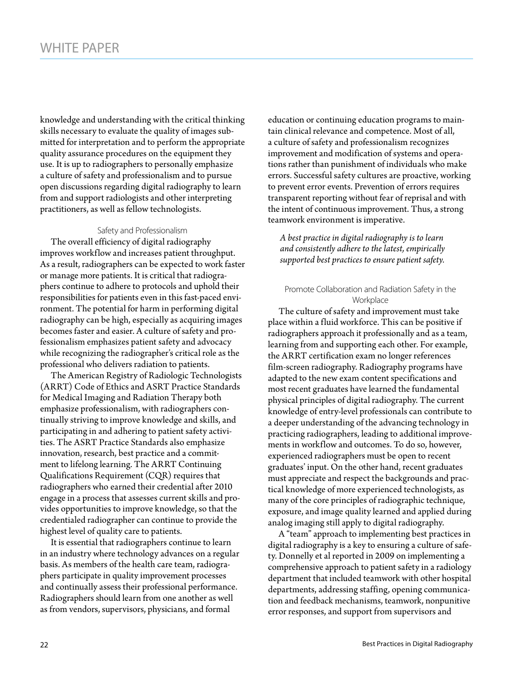knowledge and understanding with the critical thinking skills necessary to evaluate the quality of images submitted for interpretation and to perform the appropriate quality assurance procedures on the equipment they use. It is up to radiographers to personally emphasize a culture of safety and professionalism and to pursue open discussions regarding digital radiography to learn from and support radiologists and other interpreting practitioners, as well as fellow technologists.

#### Safety and Professionalism

The overall efficiency of digital radiography improves workflow and increases patient throughput. As a result, radiographers can be expected to work faster or manage more patients. It is critical that radiographers continue to adhere to protocols and uphold their responsibilities for patients even in this fast-paced environment. The potential for harm in performing digital radiography can be high, especially as acquiring images becomes faster and easier. A culture of safety and professionalism emphasizes patient safety and advocacy while recognizing the radiographer's critical role as the professional who delivers radiation to patients.

The American Registry of Radiologic Technologists (ARRT) Code of Ethics and ASRT Practice Standards for Medical Imaging and Radiation Therapy both emphasize professionalism, with radiographers continually striving to improve knowledge and skills, and participating in and adhering to patient safety activities. The ASRT Practice Standards also emphasize innovation, research, best practice and a commitment to lifelong learning. The ARRT Continuing Qualifications Requirement (CQR) requires that radiographers who earned their credential after 2010 engage in a process that assesses current skills and provides opportunities to improve knowledge, so that the credentialed radiographer can continue to provide the highest level of quality care to patients.

It is essential that radiographers continue to learn in an industry where technology advances on a regular basis. As members of the health care team, radiographers participate in quality improvement processes and continually assess their professional performance. Radiographers should learn from one another as well as from vendors, supervisors, physicians, and formal

education or continuing education programs to maintain clinical relevance and competence. Most of all, a culture of safety and professionalism recognizes improvement and modification of systems and operations rather than punishment of individuals who make errors. Successful safety cultures are proactive, working to prevent error events. Prevention of errors requires transparent reporting without fear of reprisal and with the intent of continuous improvement. Thus, a strong teamwork environment is imperative.

*A best practice in digital radiography is to learn and consistently adhere to the latest, empirically supported best practices to ensure patient safety.*

#### Promote Collaboration and Radiation Safety in the **Workplace**

The culture of safety and improvement must take place within a fluid workforce. This can be positive if radiographers approach it professionally and as a team, learning from and supporting each other. For example, the ARRT certification exam no longer references film-screen radiography. Radiography programs have adapted to the new exam content specifications and most recent graduates have learned the fundamental physical principles of digital radiography. The current knowledge of entry-level professionals can contribute to a deeper understanding of the advancing technology in practicing radiographers, leading to additional improvements in workflow and outcomes. To do so, however, experienced radiographers must be open to recent graduates' input. On the other hand, recent graduates must appreciate and respect the backgrounds and practical knowledge of more experienced technologists, as many of the core principles of radiographic technique, exposure, and image quality learned and applied during analog imaging still apply to digital radiography.

A "team" approach to implementing best practices in digital radiography is a key to ensuring a culture of safety. Donnelly et al reported in 2009 on implementing a comprehensive approach to patient safety in a radiology department that included teamwork with other hospital departments, addressing staffing, opening communication and feedback mechanisms, teamwork, nonpunitive error responses, and support from supervisors and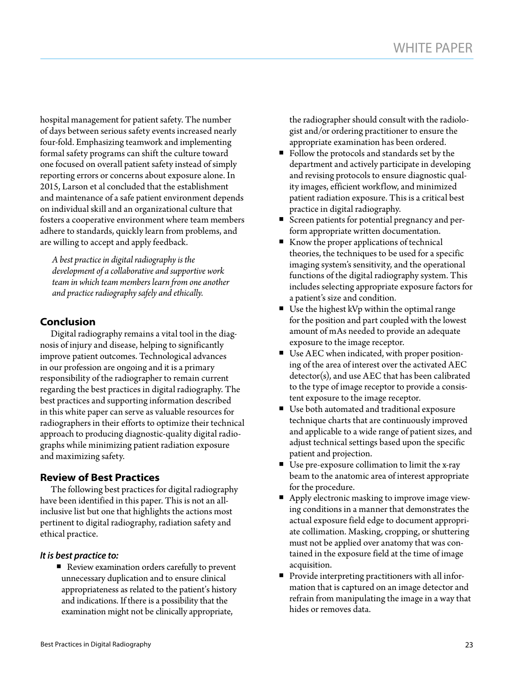hospital management for patient safety. The number of days between serious safety events increased nearly four-fold. Emphasizing teamwork and implementing formal safety programs can shift the culture toward one focused on overall patient safety instead of simply reporting errors or concerns about exposure alone. In 2015, Larson et al concluded that the establishment and maintenance of a safe patient environment depends on individual skill and an organizational culture that fosters a cooperative environment where team members adhere to standards, quickly learn from problems, and are willing to accept and apply feedback.

*A best practice in digital radiography is the development of a collaborative and supportive work team in which team members learn from one another and practice radiography safely and ethically.*

# **Conclusion**

Digital radiography remains a vital tool in the diagnosis of injury and disease, helping to significantly improve patient outcomes. Technological advances in our profession are ongoing and it is a primary responsibility of the radiographer to remain current regarding the best practices in digital radiography. The best practices and supporting information described in this white paper can serve as valuable resources for radiographers in their efforts to optimize their technical approach to producing diagnostic-quality digital radiographs while minimizing patient radiation exposure and maximizing safety.

# **Review of Best Practices**

The following best practices for digital radiography have been identified in this paper. This is not an allinclusive list but one that highlights the actions most pertinent to digital radiography, radiation safety and ethical practice.

# *It is best practice to:*

■ Review examination orders carefully to prevent unnecessary duplication and to ensure clinical appropriateness as related to the patient's history and indications. If there is a possibility that the examination might not be clinically appropriate,

the radiographer should consult with the radiologist and/or ordering practitioner to ensure the appropriate examination has been ordered.

- Follow the protocols and standards set by the department and actively participate in developing and revising protocols to ensure diagnostic quality images, efficient workflow, and minimized patient radiation exposure. This is a critical best practice in digital radiography.
- Screen patients for potential pregnancy and perform appropriate written documentation.
- Know the proper applications of technical theories, the techniques to be used for a specific imaging system's sensitivity, and the operational functions of the digital radiography system. This includes selecting appropriate exposure factors for a patient's size and condition.
- Use the highest kVp within the optimal range for the position and part coupled with the lowest amount of mAs needed to provide an adequate exposure to the image receptor.
- Use AEC when indicated, with proper positioning of the area of interest over the activated AEC detector(s), and use AEC that has been calibrated to the type of image receptor to provide a consistent exposure to the image receptor.
- Use both automated and traditional exposure technique charts that are continuously improved and applicable to a wide range of patient sizes, and adjust technical settings based upon the specific patient and projection.
- Use pre-exposure collimation to limit the x-ray beam to the anatomic area of interest appropriate for the procedure.
- Apply electronic masking to improve image viewing conditions in a manner that demonstrates the actual exposure field edge to document appropriate collimation. Masking, cropping, or shuttering must not be applied over anatomy that was contained in the exposure field at the time of image acquisition.
- **Provide interpreting practitioners with all infor**mation that is captured on an image detector and refrain from manipulating the image in a way that hides or removes data.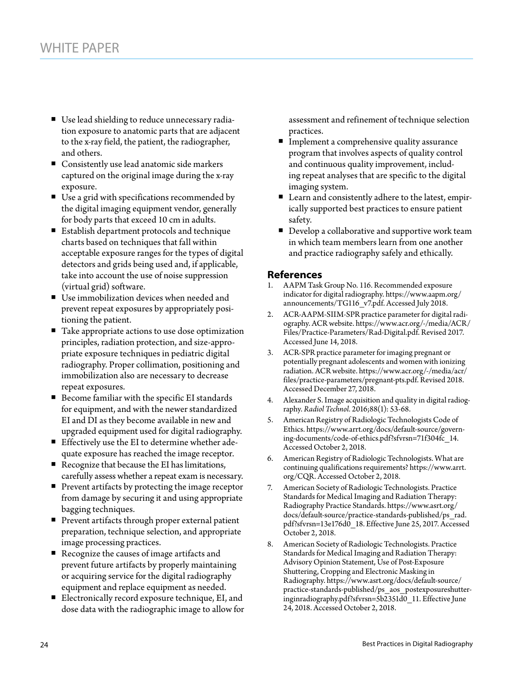- Use lead shielding to reduce unnecessary radiation exposure to anatomic parts that are adjacent to the x-ray field, the patient, the radiographer, and others.
- **Consistently use lead anatomic side markers** captured on the original image during the x-ray exposure.
- Use a grid with specifications recommended by the digital imaging equipment vendor, generally for body parts that exceed 10 cm in adults.
- Establish department protocols and technique charts based on techniques that fall within acceptable exposure ranges for the types of digital detectors and grids being used and, if applicable, take into account the use of noise suppression (virtual grid) software.
- Use immobilization devices when needed and prevent repeat exposures by appropriately positioning the patient.
- Take appropriate actions to use dose optimization principles, radiation protection, and size-appropriate exposure techniques in pediatric digital radiography. Proper collimation, positioning and immobilization also are necessary to decrease repeat exposures.
- Become familiar with the specific EI standards for equipment, and with the newer standardized EI and DI as they become available in new and upgraded equipment used for digital radiography.
- Effectively use the EI to determine whether adequate exposure has reached the image receptor.
- Recognize that because the EI has limitations, carefully assess whether a repeat exam is necessary.
- **Prevent artifacts by protecting the image receptor** from damage by securing it and using appropriate bagging techniques.
- Prevent artifacts through proper external patient preparation, technique selection, and appropriate image processing practices.
- Recognize the causes of image artifacts and prevent future artifacts by properly maintaining or acquiring service for the digital radiography equipment and replace equipment as needed.
- Electronically record exposure technique, EI, and dose data with the radiographic image to allow for

assessment and refinement of technique selection practices.

- **Implement a comprehensive quality assurance** program that involves aspects of quality control and continuous quality improvement, including repeat analyses that are specific to the digital imaging system.
- Learn and consistently adhere to the latest, empirically supported best practices to ensure patient safety.
- Develop a collaborative and supportive work team in which team members learn from one another and practice radiography safely and ethically.

# **References**

- 1. AAPM Task Group No. 116. Recommended exposure indicator for digital radiography. https://www.aapm.org/ announcements/TG116\_v7.pdf. Accessed July 2018.
- 2. ACR-AAPM-SIIM-SPR practice parameter for digital radiography. ACR website. [https://www.acr.org/-/media/ACR/](https://www.acr.org/-/media/ACR/Files/Practice-Parameters/Rad-Digital.pdf) [Files/Practice-Parameters/Rad-Digital.pdf](https://www.acr.org/-/media/ACR/Files/Practice-Parameters/Rad-Digital.pdf). Revised 2017. Accessed June 14, 2018.
- 3. ACR-SPR practice parameter for imaging pregnant or potentially pregnant adolescents and women with ionizing radiation. ACR website. https://www.acr.org/-/media/acr/ files/practice-parameters/pregnant-pts.pdf. Revised 2018. Accessed December 27, 2018.
- 4. Alexander S. Image acquisition and quality in digital radiography. *Radiol Technol.* 2016;88(1): 53-68.
- 5. American Registry of Radiologic Technologists Code of Ethics. https://www.arrt.org/docs/default-source/governing-documents/code-of-ethics.pdf?sfvrsn=71f304fc\_14. Accessed October 2, 2018.
- 6. American Registry of Radiologic Technologists. What are continuing qualifications requirements? https://www.arrt. org/CQR. Accessed October 2, 2018.
- 7. American Society of Radiologic Technologists. Practice Standards for Medical Imaging and Radiation Therapy: Radiography Practice Standards. https://www.asrt.org/ docs/default-source/practice-standards-published/ps\_rad. pdf?sfvrsn=13e176d0\_18. Effective June 25, 2017. Accessed October 2, 2018.
- 8. American Society of Radiologic Technologists. Practice Standards for Medical Imaging and Radiation Therapy: Advisory Opinion Statement, Use of Post-Exposure Shuttering, Cropping and Electronic Masking in Radiography. https://www.asrt.org/docs/default-source/ practice-standards-published/ps\_aos\_postexposureshutteringinradiography.pdf?sfvrsn=5b2351d0\_11. Effective June 24, 2018. Accessed October 2, 2018.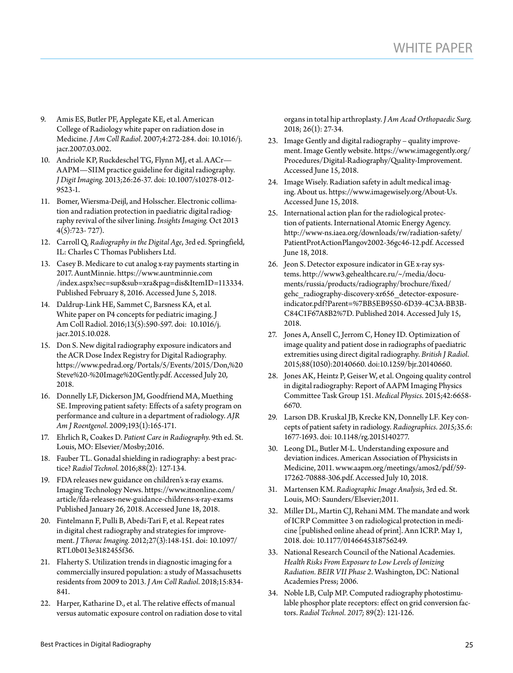- 9. Amis ES, Butler PF, Applegate KE, et al. American College of Radiology white paper on radiation dose in Medicine. *J Am Coll Radiol*. 2007;4:272-284. doi: 10.1016/j. jacr.2007.03.002.
- 10. Andriole KP, Ruckdeschel TG, Flynn MJ, et al. AACr— AAPM—SIIM practice guideline for digital radiography. *J Digit Imaging*. 2013;26:26-37. doi: 10.1007/s10278-012- 9523-1.
- 11. Bomer, Wiersma-Deijl, and Holsscher. Electronic collimation and radiation protection in paediatric digital radiography revival of the silver lining. *Insights Imaging.* Oct 2013 4(5):723- 727).
- 12. Carroll Q. *Radiography in the Digital Age*, 3rd ed. Springfield, IL: Charles C Thomas Publishers Ltd.
- 13. Casey B. Medicare to cut analog x-ray payments starting in 2017. AuntMinnie. [https://www.auntminnie.com](https://www.auntminnie.com/index.aspx?sec=sup&sub=xra&pag=dis&ItemID=113334) [/index.aspx?sec=sup&sub=xra&pag=dis&ItemID=113334](https://www.auntminnie.com/index.aspx?sec=sup&sub=xra&pag=dis&ItemID=113334). Published February 8, 2016. Accessed June 5, 2018.
- 14. Daldrup-Link HE, Sammet C, Barsness KA, et al. White paper on P4 concepts for pediatric imaging. J Am Coll Radiol. 2016;13(5):590-597. doi:  [10.1016/j.](https://dx.doi.org/10.1016%2Fj.jacr.2015.10.028) [jacr.2015.10.028.](https://dx.doi.org/10.1016%2Fj.jacr.2015.10.028)
- 15. Don S. New digital radiography exposure indicators and the ACR Dose Index Registry for Digital Radiography. [https://www.pedrad.org/Portals/5/Events/2015/Don,%20](https://www.pedrad.org/Portals/5/Events/2015/Don,%20Steve%20-%20Image%20Gently.pdf) [Steve%20-%20Image%20Gently.pdf.](https://www.pedrad.org/Portals/5/Events/2015/Don,%20Steve%20-%20Image%20Gently.pdf) Accessed July 20, 2018.
- 16. Donnelly LF, Dickerson JM, Goodfriend MA, Muething SE. Improving patient safety: Effects of a safety program on performance and culture in a department of radiology. *AJR Am J Roentgenol*. 2009;193(1):165-171.
- 17. Ehrlich R, Coakes D. *Patient Care in Radiography*. 9th ed. St. Louis, MO: Elsevier/Mosby;2016.
- 18. Fauber TL. Gonadal shielding in radiography: a best practice? *Radiol Technol.* 2016;88(2): 127-134.
- 19. FDA releases new guidance on children's x-ray exams. Imaging Technology News. https://www.itnonline.com/ article/fda-releases-new-guidance-childrens-x-ray-exams Published January 26, 2018. Accessed June 18, 2018.
- 20. Fintelmann F, Pulli B, Abedi-Tari F, et al. Repeat rates in digital chest radiography and strategies for improvement. *J Thorac Imaging*. 2012;27(3):148-151. doi: 10.1097/ RTI.0b013e3182455f36.
- 21. Flaherty S. Utilization trends in diagnostic imaging for a commercially insured population: a study of Massachusetts residents from 2009 to 2013. *J Am Coll Radiol*. 2018;15:834- 841.
- 22. Harper, Katharine D., et al. The relative effects of manual versus automatic exposure control on radiation dose to vital

organs in total hip arthroplasty. *J Am Acad Orthopaedic Surg.* 2018; 26(1): 27-34.

- 23. Image Gently and digital radiography quality improvement. Image Gently website. [https://www.imagegently.org/](https://www.imagegently.org/Procedures/Digital-Radiography/Quality-Improvement) [Procedures/Digital-Radiography/Quality-Improvement.](https://www.imagegently.org/Procedures/Digital-Radiography/Quality-Improvement) Accessed June 15, 2018.
- 24. Image Wisely. Radiation safety in adult medical imaging. About us.<https://www.imagewisely.org/About-Us>. Accessed June 15, 2018.
- 25. International action plan for the radiological protection of patients. International Atomic Energy Agency. [http://www-ns.iaea.org/downloads/rw/radiation-safety/](http://www-ns.iaea.org/downloads/rw/radiation-safety/PatientProtActionPlangov2002-36gc46-12.pdf) [PatientProtActionPlangov2002-36gc46-12.pdf](http://www-ns.iaea.org/downloads/rw/radiation-safety/PatientProtActionPlangov2002-36gc46-12.pdf). Accessed June 18, 2018.
- 26. Jeon S. Detector exposure indicator in GE x-ray systems. [http://www3.gehealthcare.ru/~/media/docu](http://www3.gehealthcare.ru/~/media/documents/russia/products/radiography/brochure/fixed/gehc_radiography-discovery-xr656_detector-exposure-indicator.pdf?Parent=%7BB5EB9550-6D39-4C3A-BB3B-C84C1F67A8B2%7D)[ments/russia/products/radiography/brochure/fixed/](http://www3.gehealthcare.ru/~/media/documents/russia/products/radiography/brochure/fixed/gehc_radiography-discovery-xr656_detector-exposure-indicator.pdf?Parent=%7BB5EB9550-6D39-4C3A-BB3B-C84C1F67A8B2%7D) [gehc\\_radiography-discovery-xr656\\_detector-exposure](http://www3.gehealthcare.ru/~/media/documents/russia/products/radiography/brochure/fixed/gehc_radiography-discovery-xr656_detector-exposure-indicator.pdf?Parent=%7BB5EB9550-6D39-4C3A-BB3B-C84C1F67A8B2%7D)[indicator.pdf?Parent=%7BB5EB9550-6D39-4C3A-BB3B-](http://www3.gehealthcare.ru/~/media/documents/russia/products/radiography/brochure/fixed/gehc_radiography-discovery-xr656_detector-exposure-indicator.pdf?Parent=%7BB5EB9550-6D39-4C3A-BB3B-C84C1F67A8B2%7D)[C84C1F67A8B2%7D.](http://www3.gehealthcare.ru/~/media/documents/russia/products/radiography/brochure/fixed/gehc_radiography-discovery-xr656_detector-exposure-indicator.pdf?Parent=%7BB5EB9550-6D39-4C3A-BB3B-C84C1F67A8B2%7D) Published 2014. Accessed July 15, 2018.
- 27. Jones A, Ansell C, Jerrom C, Honey ID. Optimization of image quality and patient dose in radiographs of paediatric extremities using direct digital radiography. *British J Radiol*. 2015;88(1050):20140660. doi:10.1259/bjr.20140660.
- 28. Jones AK, Heintz P, Geiser W, et al. Ongoing quality control in digital radiography: Report of AAPM Imaging Physics Committee Task Group 151. *Medical Physics*. 2015;42:6658- 6670.
- 29. Larson DB. Kruskal JB, Krecke KN, Donnelly LF. Key concepts of patient safety in radiology. *Radiographics. 2015;*35.6: 1677-1693. doi: 10.1148/rg.2015140277.
- 30. Leong DL, Butler M-L. Understanding exposure and deviation indices. American Association of Physicists in Medicine, 2011. [www.aapm.org/meetings/amos2/pdf/59-](http://www.aapm.org/meetings/amos2/pdf/59-17262-70888-306.pdf) [17262-70888-306.pdf.](http://www.aapm.org/meetings/amos2/pdf/59-17262-70888-306.pdf) Accessed July 10, 2018.
- 31. Martensen KM. *Radiographic Image Analysis*, 3rd ed. St. Louis, MO: Saunders/Elsevier;2011.
- 32. Miller DL, Martin CJ, Rehani MM. The mandate and work of ICRP Committee 3 on radiological protection in medicine [published online ahead of print]. Ann ICRP. May 1, 2018. doi: 10.1177/0146645318756249.
- 33. National Research Council of the National Academies. *Health Risks From Exposure to Low Levels of Ionizing Radiation. BEIR VII Phase 2*. Washington, DC: National Academies Press; 2006.
- 34. Noble LB, Culp MP. Computed radiography photostimulable phosphor plate receptors: effect on grid conversion factors. *Radiol Technol. 2017;* 89(2): 121-126.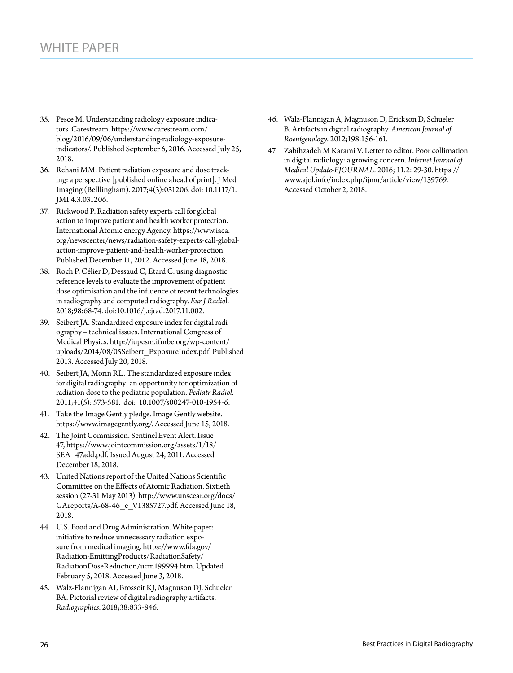- 35. Pesce M. Understanding radiology exposure indicators. Carestream. [https://www.carestream.com/](https://www.carestream.com/blog/2016/09/06/understanding-radiology-exposure-indicators/) [blog/2016/09/06/understanding-radiology-exposure](https://www.carestream.com/blog/2016/09/06/understanding-radiology-exposure-indicators/)[indicators/.](https://www.carestream.com/blog/2016/09/06/understanding-radiology-exposure-indicators/) Published September 6, 2016. Accessed July 25, 2018.
- 36. Rehani MM. Patient radiation exposure and dose tracking: a perspective [published online ahead of print]. J Med Imaging (Belllingham). 2017;4(3):031206. doi: 10.1117/1. JMI.4.3.031206.
- 37. Rickwood P. Radiation safety experts call for global action to improve patient and health worker protection. International Atomic energy Agency. [https://www.iaea.](https://www.iaea.org/newscenter/news/radiation-safety-experts-call-global-action-improve-patient-and-health-worker-protection) [org/newscenter/news/radiation-safety-experts-call-global](https://www.iaea.org/newscenter/news/radiation-safety-experts-call-global-action-improve-patient-and-health-worker-protection)[action-improve-patient-and-health-worker-protection.](https://www.iaea.org/newscenter/news/radiation-safety-experts-call-global-action-improve-patient-and-health-worker-protection) Published December 11, 2012. Accessed June 18, 2018.
- 38. Roch P, Célier D, Dessaud C, Etard C. using diagnostic reference levels to evaluate the improvement of patient dose optimisation and the influence of recent technologies in radiography and computed radiography. *Eur J Radio*l. 2018;98:68-74. doi[:10.1016/j.ejrad.2017.11.002.](https://doi.org/10.1016/j.ejrad.2017.11.002)
- 39. Seibert JA. Standardized exposure index for digital radiography – technical issues. International Congress of Medical Physics. http://iupesm.ifmbe.org/wp-content/ uploads/2014/08/05Seibert\_ExposureIndex.pdf. Published 2013. Accessed July 20, 2018.
- 40. Seibert JA, Morin RL. The standardized exposure index for digital radiography: an opportunity for optimization of radiation dose to the pediatric population. *Pediatr Radiol.* 2011;41(5): 573-581. doi: [10.1007/s00247-010-1954-6](https://dx.doi.org/10.1007%2Fs00247-010-1954-6).
- 41. Take the Image Gently pledge. Image Gently website. <https://www.imagegently.org/>. Accessed June 15, 2018.
- 42. The Joint Commission. Sentinel Event Alert. Issue 47, https://www.jointcommission.org/assets/1/18/ SEA\_47add.pdf. Issued August 24, 2011. Accessed December 18, 2018.
- 43. United Nations report of the United Nations Scientific Committee on the Effects of Atomic Radiation. Sixtieth session (27-31 May 2013). [http://www.unscear.org/docs/](http://www.unscear.org/docs/GAreports/A-68-46_e_V1385727.pdf) [GAreports/A-68-46\\_e\\_V1385727.pdf.](http://www.unscear.org/docs/GAreports/A-68-46_e_V1385727.pdf) Accessed June 18, 2018.
- 44. U.S. Food and Drug Administration. White paper: initiative to reduce unnecessary radiation exposure from medical imaging. [https://www.fda.gov/](https://www.fda.gov/Radiation-EmittingProducts/RadiationSafety/RadiationDoseReduction/ucm199994.htm) [Radiation-EmittingProducts/RadiationSafety/](https://www.fda.gov/Radiation-EmittingProducts/RadiationSafety/RadiationDoseReduction/ucm199994.htm) [RadiationDoseReduction/ucm199994.htm.](https://www.fda.gov/Radiation-EmittingProducts/RadiationSafety/RadiationDoseReduction/ucm199994.htm) Updated February 5, 2018. Accessed June 3, 2018.
- 45. Walz-Flannigan AI, Brossoit KJ, Magnuson DJ, Schueler BA. Pictorial review of digital radiography artifacts. *Radiographics*. 2018;38:833-846.
- 46. Walz-Flannigan A, Magnuson D, Erickson D, Schueler B. Artifacts in digital radiography. *American Journal of Roentgenology*. 2012;198:156-161.
- 47. Zabihzadeh M Karami V. Letter to editor. Poor collimation in digital radiology: a growing concern. *Internet Journal of Medical Update-EJOURNAL.* 2016; 11.2: 29-30. https:// www.ajol.info/index.php/ijmu/article/view/139769. Accessed October 2, 2018.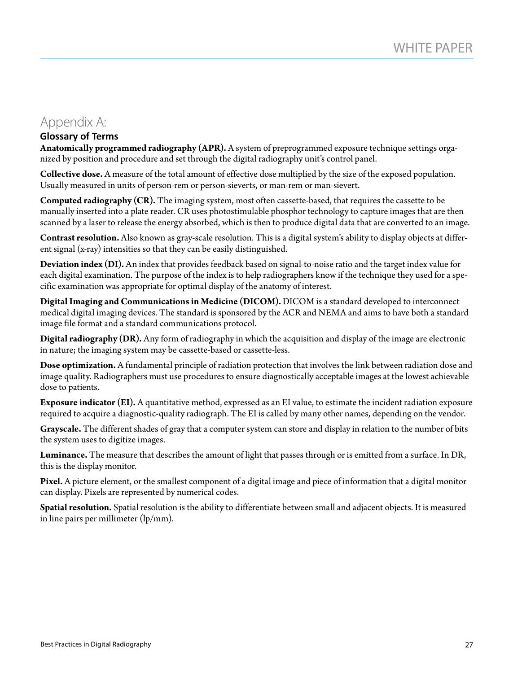# Appendix A:

# **Glossary of Terms**

**Anatomically programmed radiography (APR).** A system of preprogrammed exposure technique settings organized by position and procedure and set through the digital radiography unit's control panel.

**Collective dose.** A measure of the total amount of effective dose multiplied by the size of the exposed population. Usually measured in units of person-rem or person-sieverts, or man-rem or man-sievert.

**Computed radiography (CR).** The imaging system, most often cassette-based, that requires the cassette to be manually inserted into a plate reader. CR uses photostimulable phosphor technology to capture images that are then scanned by a laser to release the energy absorbed, which is then to produce digital data that are converted to an image.

**Contrast resolution.** Also known as gray-scale resolution. This is a digital system's ability to display objects at different signal (x-ray) intensities so that they can be easily distinguished.

**Deviation index (DI).** An index that provides feedback based on signal-to-noise ratio and the target index value for each digital examination. The purpose of the index is to help radiographers know if the technique they used for a specific examination was appropriate for optimal display of the anatomy of interest.

**Digital Imaging and Communications in Medicine (DICOM).** DICOM is a standard developed to interconnect medical digital imaging devices. The standard is sponsored by the ACR and NEMA and aims to have both a standard image file format and a standard communications protocol.

**Digital radiography (DR).** Any form of radiography in which the acquisition and display of the image are electronic in nature; the imaging system may be cassette-based or cassette-less.

**Dose optimization.** A fundamental principle of radiation protection that involves the link between radiation dose and image quality. Radiographers must use procedures to ensure diagnostically acceptable images at the lowest achievable dose to patients.

**Exposure indicator (EI).** A quantitative method, expressed as an EI value, to estimate the incident radiation exposure required to acquire a diagnostic-quality radiograph. The EI is called by many other names, depending on the vendor.

**Grayscale.** The different shades of gray that a computer system can store and display in relation to the number of bits the system uses to digitize images.

**Luminance.** The measure that describes the amount of light that passes through or is emitted from a surface. In DR, this is the display monitor.

**Pixel.** A picture element, or the smallest component of a digital image and piece of information that a digital monitor can display. Pixels are represented by numerical codes.

**Spatial resolution.** Spatial resolution is the ability to differentiate between small and adjacent objects. It is measured in line pairs per millimeter (lp/mm).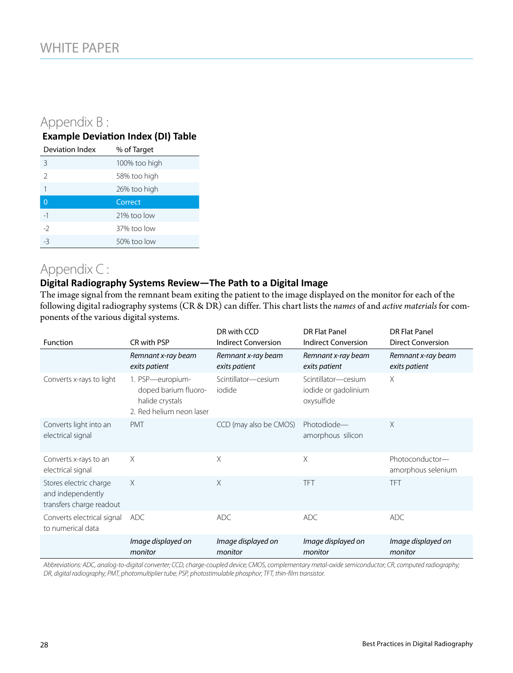# Appendix B :

# **Example Deviation Index (DI) Table**

| Deviation Index | % of Target   |
|-----------------|---------------|
| 3               | 100% too high |
| $\mathcal{P}$   | 58% too high  |
| 1               | 26% too high  |
| $\overline{0}$  | Correct       |
| $-1$            | 21% too low   |
| $-2$            | 37% too low   |
| $-3$            | 50% too low   |

# Appendix C :

# **Digital Radiography Systems Review—The Path to a Digital Image**

The image signal from the remnant beam exiting the patient to the image displayed on the monitor for each of the following digital radiography systems (CR & DR) can differ. This chart lists the *names* of and *active materials* for components of the various digital systems.

| <b>Function</b>                                                         | CR with PSP                                                                             | DR with CCD<br><b>Indirect Conversion</b> | <b>DR Flat Panel</b><br><b>Indirect Conversion</b>        | <b>DR Flat Panel</b><br><b>Direct Conversion</b> |
|-------------------------------------------------------------------------|-----------------------------------------------------------------------------------------|-------------------------------------------|-----------------------------------------------------------|--------------------------------------------------|
|                                                                         | Remnant x-ray beam<br>exits patient                                                     | Remnant x-ray beam<br>exits patient       | Remnant x-ray beam<br>exits patient                       | Remnant x-ray beam<br>exits patient              |
| Converts x-rays to light                                                | 1. PSP-europium-<br>doped barium fluoro-<br>halide crystals<br>2. Red helium neon laser | Scintillator-cesium<br>iodide             | Scintillator-cesium<br>iodide or gadolinium<br>oxysulfide | X                                                |
| Converts light into an<br>electrical signal                             | <b>PMT</b>                                                                              | CCD (may also be CMOS)                    | Photodiode-<br>amorphous silicon                          | X                                                |
| Converts x-rays to an<br>electrical signal                              | $\times$                                                                                | X                                         | X                                                         | Photoconductor-<br>amorphous selenium            |
| Stores electric charge<br>and independently<br>transfers charge readout | $\times$                                                                                | X                                         | <b>TFT</b>                                                | <b>TFT</b>                                       |
| Converts electrical signal<br>to numerical data                         | ADC                                                                                     | <b>ADC</b>                                | <b>ADC</b>                                                | <b>ADC</b>                                       |
|                                                                         | Image displayed on<br>monitor                                                           | Image displayed on<br>monitor             | Image displayed on<br>monitor                             | Image displayed on<br>monitor                    |

*Abbreviations: ADC, analog-to-digital converter; CCD, charge-coupled device; CMOS, complementary metal-oxide semiconductor; CR, computed radiography; DR, digital radiography; PMT, photomultiplier tube; PSP, photostimulable phosphor; TFT, thin-film transistor.*